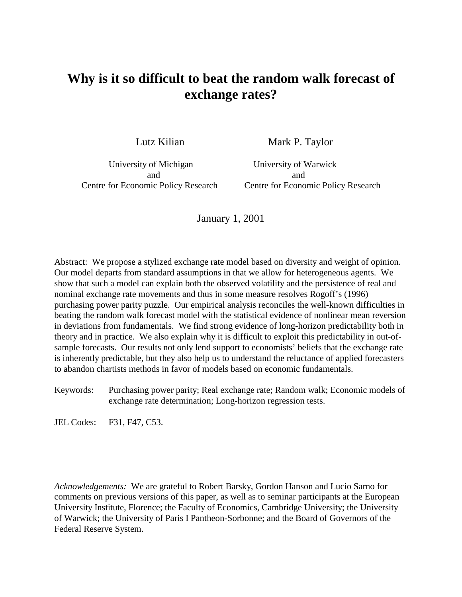# **Why is it so difficult to beat the random walk forecast of exchange rates?**

Lutz Kilian Mark P. Taylor

University of Michigan University of Warwick and and

Centre for Economic Policy Research Centre for Economic Policy Research

January 1, 2001

Abstract: We propose a stylized exchange rate model based on diversity and weight of opinion. Our model departs from standard assumptions in that we allow for heterogeneous agents. We show that such a model can explain both the observed volatility and the persistence of real and nominal exchange rate movements and thus in some measure resolves Rogoff's (1996) purchasing power parity puzzle. Our empirical analysis reconciles the well-known difficulties in beating the random walk forecast model with the statistical evidence of nonlinear mean reversion in deviations from fundamentals. We find strong evidence of long-horizon predictability both in theory and in practice. We also explain why it is difficult to exploit this predictability in out-ofsample forecasts. Our results not only lend support to economists' beliefs that the exchange rate is inherently predictable, but they also help us to understand the reluctance of applied forecasters to abandon chartists methods in favor of models based on economic fundamentals.

Keywords: Purchasing power parity; Real exchange rate; Random walk; Economic models of exchange rate determination; Long-horizon regression tests.

JEL Codes: F31, F47, C53.

*Acknowledgements:* We are grateful to Robert Barsky, Gordon Hanson and Lucio Sarno for comments on previous versions of this paper, as well as to seminar participants at the European University Institute, Florence; the Faculty of Economics, Cambridge University; the University of Warwick; the University of Paris I Pantheon-Sorbonne; and the Board of Governors of the Federal Reserve System.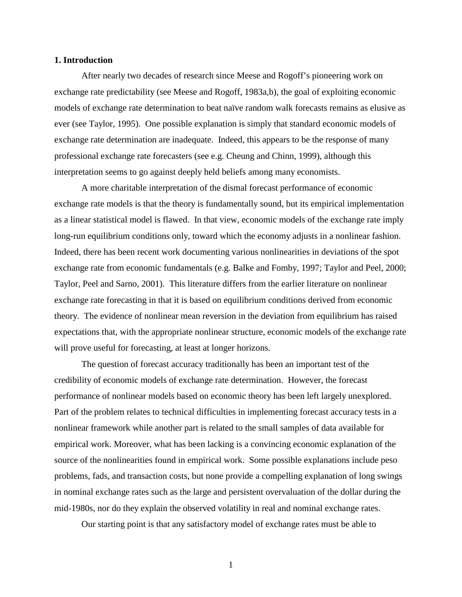### **1. Introduction**

After nearly two decades of research since Meese and Rogoff's pioneering work on exchange rate predictability (see Meese and Rogoff, 1983a,b), the goal of exploiting economic models of exchange rate determination to beat naïve random walk forecasts remains as elusive as ever (see Taylor, 1995). One possible explanation is simply that standard economic models of exchange rate determination are inadequate. Indeed, this appears to be the response of many professional exchange rate forecasters (see e.g. Cheung and Chinn, 1999), although this interpretation seems to go against deeply held beliefs among many economists.

A more charitable interpretation of the dismal forecast performance of economic exchange rate models is that the theory is fundamentally sound, but its empirical implementation as a linear statistical model is flawed. In that view, economic models of the exchange rate imply long-run equilibrium conditions only, toward which the economy adjusts in a nonlinear fashion. Indeed, there has been recent work documenting various nonlinearities in deviations of the spot exchange rate from economic fundamentals (e.g. Balke and Fomby, 1997; Taylor and Peel, 2000; Taylor, Peel and Sarno, 2001). This literature differs from the earlier literature on nonlinear exchange rate forecasting in that it is based on equilibrium conditions derived from economic theory. The evidence of nonlinear mean reversion in the deviation from equilibrium has raised expectations that, with the appropriate nonlinear structure, economic models of the exchange rate will prove useful for forecasting, at least at longer horizons.

The question of forecast accuracy traditionally has been an important test of the credibility of economic models of exchange rate determination. However, the forecast performance of nonlinear models based on economic theory has been left largely unexplored. Part of the problem relates to technical difficulties in implementing forecast accuracy tests in a nonlinear framework while another part is related to the small samples of data available for empirical work. Moreover, what has been lacking is a convincing economic explanation of the source of the nonlinearities found in empirical work. Some possible explanations include peso problems, fads, and transaction costs, but none provide a compelling explanation of long swings in nominal exchange rates such as the large and persistent overvaluation of the dollar during the mid-1980s, nor do they explain the observed volatility in real and nominal exchange rates.

Our starting point is that any satisfactory model of exchange rates must be able to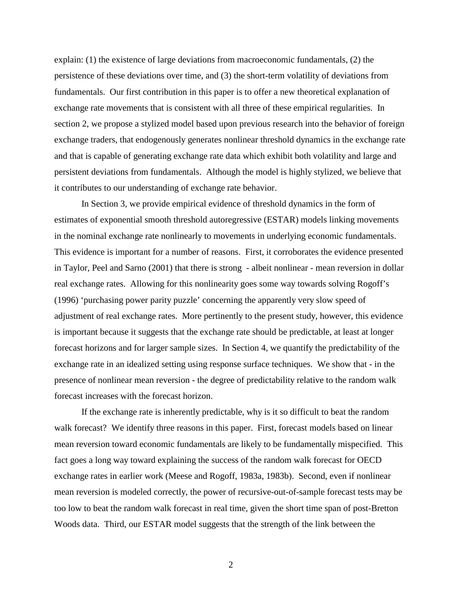explain: (1) the existence of large deviations from macroeconomic fundamentals, (2) the persistence of these deviations over time, and (3) the short-term volatility of deviations from fundamentals. Our first contribution in this paper is to offer a new theoretical explanation of exchange rate movements that is consistent with all three of these empirical regularities. In section 2, we propose a stylized model based upon previous research into the behavior of foreign exchange traders, that endogenously generates nonlinear threshold dynamics in the exchange rate and that is capable of generating exchange rate data which exhibit both volatility and large and persistent deviations from fundamentals. Although the model is highly stylized, we believe that it contributes to our understanding of exchange rate behavior.

In Section 3, we provide empirical evidence of threshold dynamics in the form of estimates of exponential smooth threshold autoregressive (ESTAR) models linking movements in the nominal exchange rate nonlinearly to movements in underlying economic fundamentals. This evidence is important for a number of reasons. First, it corroborates the evidence presented in Taylor, Peel and Sarno (2001) that there is strong - albeit nonlinear - mean reversion in dollar real exchange rates. Allowing for this nonlinearity goes some way towards solving Rogoff's (1996) 'purchasing power parity puzzle' concerning the apparently very slow speed of adjustment of real exchange rates. More pertinently to the present study, however, this evidence is important because it suggests that the exchange rate should be predictable, at least at longer forecast horizons and for larger sample sizes. In Section 4, we quantify the predictability of the exchange rate in an idealized setting using response surface techniques. We show that - in the presence of nonlinear mean reversion - the degree of predictability relative to the random walk forecast increases with the forecast horizon.

If the exchange rate is inherently predictable, why is it so difficult to beat the random walk forecast? We identify three reasons in this paper. First, forecast models based on linear mean reversion toward economic fundamentals are likely to be fundamentally mispecified. This fact goes a long way toward explaining the success of the random walk forecast for OECD exchange rates in earlier work (Meese and Rogoff, 1983a, 1983b). Second, even if nonlinear mean reversion is modeled correctly, the power of recursive-out-of-sample forecast tests may be too low to beat the random walk forecast in real time, given the short time span of post-Bretton Woods data. Third, our ESTAR model suggests that the strength of the link between the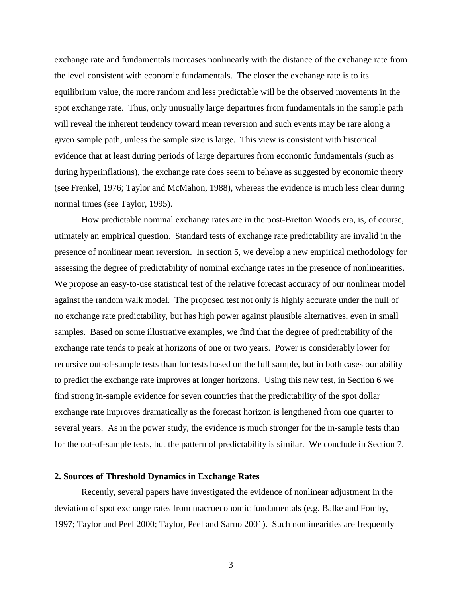exchange rate and fundamentals increases nonlinearly with the distance of the exchange rate from the level consistent with economic fundamentals. The closer the exchange rate is to its equilibrium value, the more random and less predictable will be the observed movements in the spot exchange rate. Thus, only unusually large departures from fundamentals in the sample path will reveal the inherent tendency toward mean reversion and such events may be rare along a given sample path, unless the sample size is large. This view is consistent with historical evidence that at least during periods of large departures from economic fundamentals (such as during hyperinflations), the exchange rate does seem to behave as suggested by economic theory (see Frenkel, 1976; Taylor and McMahon, 1988), whereas the evidence is much less clear during normal times (see Taylor, 1995).

How predictable nominal exchange rates are in the post-Bretton Woods era, is, of course, utimately an empirical question. Standard tests of exchange rate predictability are invalid in the presence of nonlinear mean reversion. In section 5, we develop a new empirical methodology for assessing the degree of predictability of nominal exchange rates in the presence of nonlinearities. We propose an easy-to-use statistical test of the relative forecast accuracy of our nonlinear model against the random walk model. The proposed test not only is highly accurate under the null of no exchange rate predictability, but has high power against plausible alternatives, even in small samples. Based on some illustrative examples, we find that the degree of predictability of the exchange rate tends to peak at horizons of one or two years. Power is considerably lower for recursive out-of-sample tests than for tests based on the full sample, but in both cases our ability to predict the exchange rate improves at longer horizons. Using this new test, in Section 6 we find strong in-sample evidence for seven countries that the predictability of the spot dollar exchange rate improves dramatically as the forecast horizon is lengthened from one quarter to several years. As in the power study, the evidence is much stronger for the in-sample tests than for the out-of-sample tests, but the pattern of predictability is similar. We conclude in Section 7.

### **2. Sources of Threshold Dynamics in Exchange Rates**

Recently, several papers have investigated the evidence of nonlinear adjustment in the deviation of spot exchange rates from macroeconomic fundamentals (e.g. Balke and Fomby, 1997; Taylor and Peel 2000; Taylor, Peel and Sarno 2001). Such nonlinearities are frequently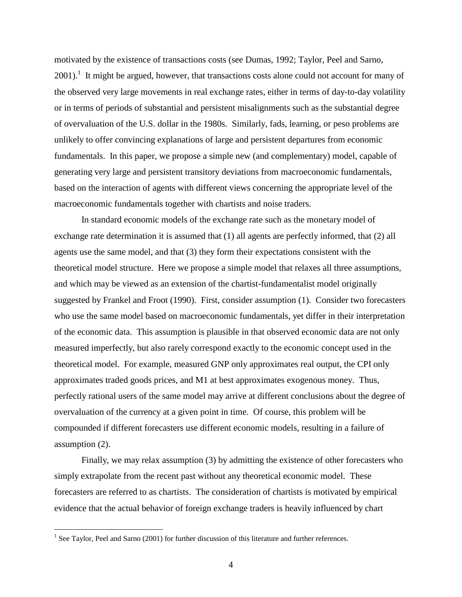motivated by the existence of transactions costs (see Dumas, 1992; Taylor, Peel and Sarno,  $2001$ ).<sup>1</sup> It might be argued, however, that transactions costs alone could not account for many of the observed very large movements in real exchange rates, either in terms of day-to-day volatility or in terms of periods of substantial and persistent misalignments such as the substantial degree of overvaluation of the U.S. dollar in the 1980s. Similarly, fads, learning, or peso problems are unlikely to offer convincing explanations of large and persistent departures from economic fundamentals. In this paper, we propose a simple new (and complementary) model, capable of generating very large and persistent transitory deviations from macroeconomic fundamentals, based on the interaction of agents with different views concerning the appropriate level of the macroeconomic fundamentals together with chartists and noise traders.

In standard economic models of the exchange rate such as the monetary model of exchange rate determination it is assumed that (1) all agents are perfectly informed, that (2) all agents use the same model, and that (3) they form their expectations consistent with the theoretical model structure. Here we propose a simple model that relaxes all three assumptions, and which may be viewed as an extension of the chartist-fundamentalist model originally suggested by Frankel and Froot (1990). First, consider assumption (1). Consider two forecasters who use the same model based on macroeconomic fundamentals, yet differ in their interpretation of the economic data. This assumption is plausible in that observed economic data are not only measured imperfectly, but also rarely correspond exactly to the economic concept used in the theoretical model. For example, measured GNP only approximates real output, the CPI only approximates traded goods prices, and M1 at best approximates exogenous money. Thus, perfectly rational users of the same model may arrive at different conclusions about the degree of overvaluation of the currency at a given point in time. Of course, this problem will be compounded if different forecasters use different economic models, resulting in a failure of assumption (2).

Finally, we may relax assumption (3) by admitting the existence of other forecasters who simply extrapolate from the recent past without any theoretical economic model. These forecasters are referred to as chartists. The consideration of chartists is motivated by empirical evidence that the actual behavior of foreign exchange traders is heavily influenced by chart

<sup>&</sup>lt;sup>1</sup> See Taylor, Peel and Sarno (2001) for further discussion of this literature and further references.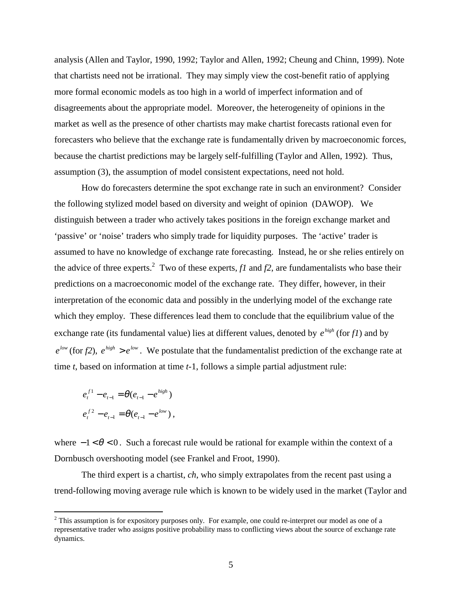analysis (Allen and Taylor, 1990, 1992; Taylor and Allen, 1992; Cheung and Chinn, 1999). Note that chartists need not be irrational. They may simply view the cost-benefit ratio of applying more formal economic models as too high in a world of imperfect information and of disagreements about the appropriate model. Moreover, the heterogeneity of opinions in the market as well as the presence of other chartists may make chartist forecasts rational even for forecasters who believe that the exchange rate is fundamentally driven by macroeconomic forces, because the chartist predictions may be largely self-fulfilling (Taylor and Allen, 1992). Thus, assumption (3), the assumption of model consistent expectations, need not hold.

How do forecasters determine the spot exchange rate in such an environment? Consider the following stylized model based on diversity and weight of opinion (DAWOP). We distinguish between a trader who actively takes positions in the foreign exchange market and 'passive' or 'noise' traders who simply trade for liquidity purposes. The 'active' trader is assumed to have no knowledge of exchange rate forecasting. Instead, he or she relies entirely on the advice of three experts.<sup>2</sup> Two of these experts,  $f1$  and  $f2$ , are fundamentalists who base their predictions on a macroeconomic model of the exchange rate. They differ, however, in their interpretation of the economic data and possibly in the underlying model of the exchange rate which they employ. These differences lead them to conclude that the equilibrium value of the exchange rate (its fundamental value) lies at different values, denoted by  $e^{high}$  (for  $f1$ ) and by  $e^{low}$  (for *f2*),  $e^{high} > e^{low}$ . We postulate that the fundamentalist prediction of the exchange rate at time *t*, based on information at time *t*-1, follows a simple partial adjustment rule:

$$
e_t^{f1} - e_{t-1} = \theta(e_{t-1} - e^{high})
$$
  

$$
e_t^{f2} - e_{t-1} = \theta(e_{t-1} - e^{low}),
$$

where  $-1 < \theta < 0$ . Such a forecast rule would be rational for example within the context of a Dornbusch overshooting model (see Frankel and Froot, 1990).

The third expert is a chartist, *ch*, who simply extrapolates from the recent past using a trend-following moving average rule which is known to be widely used in the market (Taylor and

<sup>&</sup>lt;sup>2</sup> This assumption is for expository purposes only. For example, one could re-interpret our model as one of a representative trader who assigns positive probability mass to conflicting views about the source of exchange rate dynamics.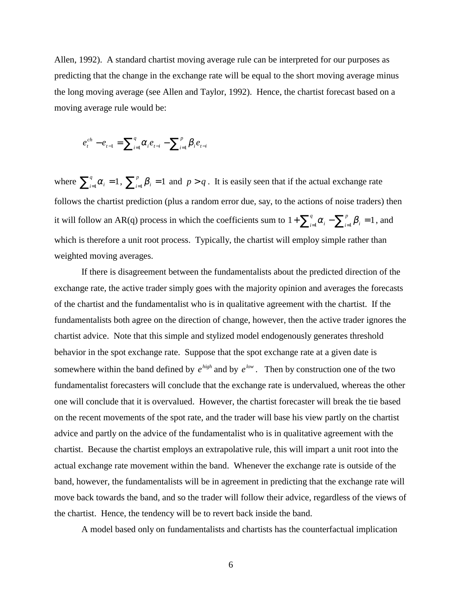Allen, 1992). A standard chartist moving average rule can be interpreted for our purposes as predicting that the change in the exchange rate will be equal to the short moving average minus the long moving average (see Allen and Taylor, 1992). Hence, the chartist forecast based on a moving average rule would be:

$$
e_{t}^{ch} - e_{t-1} = \sum_{i=1}^{q} \alpha_{i} e_{t-i} - \sum_{i=1}^{p} \beta_{i} e_{t-i}
$$

where  $\sum_{i=1}^{q} \alpha_i = 1$  $a_{i}^{q}$   $\alpha_{i} = 1$ ,  $\sum_{i=1}^{p} \beta_{i} = 1$  and  $p > q$ . It is easily seen that if the actual exchange rate follows the chartist prediction (plus a random error due, say, to the actions of noise traders) then it will follow an AR(q) process in which the coefficients sum to  $1 + \sum_{i=1}^{q} \alpha_i - \sum_{i=1}^{p} \beta_i = 1$  $i=1$   $P_i$ *q*  $\alpha_{i}^{\mathcal{A}} - \sum_{i=1}^{P} \beta_{i} = 1$ , and which is therefore a unit root process. Typically, the chartist will employ simple rather than weighted moving averages.

If there is disagreement between the fundamentalists about the predicted direction of the exchange rate, the active trader simply goes with the majority opinion and averages the forecasts of the chartist and the fundamentalist who is in qualitative agreement with the chartist. If the fundamentalists both agree on the direction of change, however, then the active trader ignores the chartist advice. Note that this simple and stylized model endogenously generates threshold behavior in the spot exchange rate. Suppose that the spot exchange rate at a given date is somewhere within the band defined by  $e^{high}$  and by  $e^{low}$ . Then by construction one of the two fundamentalist forecasters will conclude that the exchange rate is undervalued, whereas the other one will conclude that it is overvalued. However, the chartist forecaster will break the tie based on the recent movements of the spot rate, and the trader will base his view partly on the chartist advice and partly on the advice of the fundamentalist who is in qualitative agreement with the chartist. Because the chartist employs an extrapolative rule, this will impart a unit root into the actual exchange rate movement within the band. Whenever the exchange rate is outside of the band, however, the fundamentalists will be in agreement in predicting that the exchange rate will move back towards the band, and so the trader will follow their advice, regardless of the views of the chartist. Hence, the tendency will be to revert back inside the band.

A model based only on fundamentalists and chartists has the counterfactual implication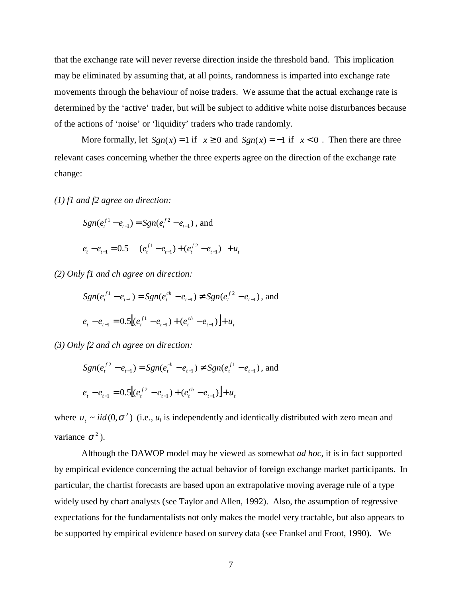that the exchange rate will never reverse direction inside the threshold band. This implication may be eliminated by assuming that, at all points, randomness is imparted into exchange rate movements through the behaviour of noise traders. We assume that the actual exchange rate is determined by the 'active' trader, but will be subject to additive white noise disturbances because of the actions of 'noise' or 'liquidity' traders who trade randomly.

More formally, let  $Sgn(x) = 1$  if  $x \ge 0$  and  $Sgn(x) = -1$  if  $x < 0$ . Then there are three relevant cases concerning whether the three experts agree on the direction of the exchange rate change:

*(1) f1 and f2 agree on direction:*

$$
Sgn(e_i^{f1} - e_{t-1}) = Sgn(e_i^{f2} - e_{t-1}),
$$
 and  

$$
e_t - e_{t-1} = 0.5 \left[ (e_i^{f1} - e_{t-1}) + (e_i^{f2} - e_{t-1}) \right] + u_t
$$

*(2) Only f1 and ch agree on direction:*

$$
Sgn(e_i^{f1} - e_{i-1}) = Sgn(e_i^{ch} - e_{i-1}) \neq Sgn(e_i^{f2} - e_{i-1}),
$$
 and  

$$
e_i - e_{i-1} = 0.5[(e_i^{f1} - e_{i-1}) + (e_i^{ch} - e_{i-1})] + u_i
$$

*(3) Only f2 and ch agree on direction:*

$$
Sgn(e_i^{f^2} - e_{t-1}) = Sgn(e_i^{ch} - e_{t-1}) \neq Sgn(e_i^{f^1} - e_{t-1}),
$$
 and  

$$
e_t - e_{t-1} = 0.5[(e_i^{f^2} - e_{t-1}) + (e_i^{ch} - e_{t-1})] + u_t
$$

where  $u_t \sim i i d (0, \sigma^2)$  (i.e.,  $u_t$  is independently and identically distributed with zero mean and variance  $\sigma^2$ ).

Although the DAWOP model may be viewed as somewhat *ad hoc*, it is in fact supported by empirical evidence concerning the actual behavior of foreign exchange market participants. In particular, the chartist forecasts are based upon an extrapolative moving average rule of a type widely used by chart analysts (see Taylor and Allen, 1992). Also, the assumption of regressive expectations for the fundamentalists not only makes the model very tractable, but also appears to be supported by empirical evidence based on survey data (see Frankel and Froot, 1990). We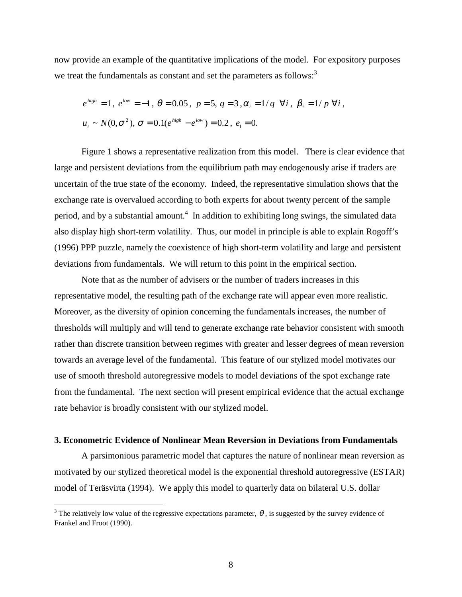now provide an example of the quantitative implications of the model. For expository purposes we treat the fundamentals as constant and set the parameters as follows: $3<sup>3</sup>$ 

$$
e^{high} = 1
$$
,  $e^{low} = -1$ ,  $\theta = 0.05$ ,  $p = 5$ ,  $q = 3$ ,  $\alpha_i = 1/q$   $\forall i$ ,  $\beta_i = 1/p$   $\forall i$ ,  
 $u_i \sim N(0, \sigma^2)$ ,  $\sigma = 0.1(e^{high} - e^{low}) = 0.2$ ,  $e_1 = 0$ .

Figure 1 shows a representative realization from this model. There is clear evidence that large and persistent deviations from the equilibrium path may endogenously arise if traders are uncertain of the true state of the economy. Indeed, the representative simulation shows that the exchange rate is overvalued according to both experts for about twenty percent of the sample period, and by a substantial amount.<sup>4</sup> In addition to exhibiting long swings, the simulated data also display high short-term volatility. Thus, our model in principle is able to explain Rogoff's (1996) PPP puzzle, namely the coexistence of high short-term volatility and large and persistent deviations from fundamentals. We will return to this point in the empirical section.

Note that as the number of advisers or the number of traders increases in this representative model, the resulting path of the exchange rate will appear even more realistic. Moreover, as the diversity of opinion concerning the fundamentals increases, the number of thresholds will multiply and will tend to generate exchange rate behavior consistent with smooth rather than discrete transition between regimes with greater and lesser degrees of mean reversion towards an average level of the fundamental. This feature of our stylized model motivates our use of smooth threshold autoregressive models to model deviations of the spot exchange rate from the fundamental. The next section will present empirical evidence that the actual exchange rate behavior is broadly consistent with our stylized model.

#### **3. Econometric Evidence of Nonlinear Mean Reversion in Deviations from Fundamentals**

A parsimonious parametric model that captures the nature of nonlinear mean reversion as motivated by our stylized theoretical model is the exponential threshold autoregressive (ESTAR) model of Teräsvirta (1994). We apply this model to quarterly data on bilateral U.S. dollar

 $\overline{a}$ 

<sup>&</sup>lt;sup>3</sup> The relatively low value of the regressive expectations parameter,  $\theta$ , is suggested by the survey evidence of Frankel and Froot (1990).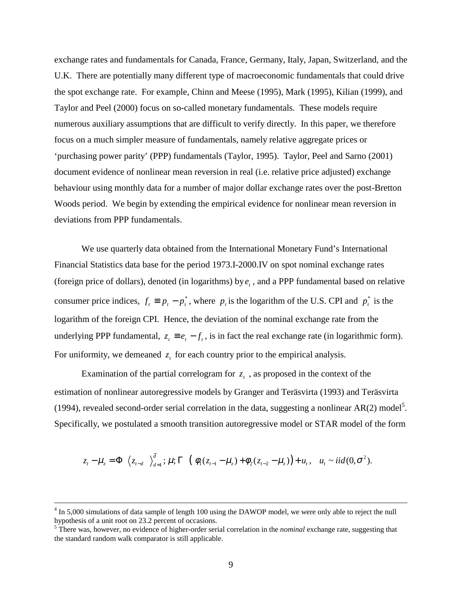exchange rates and fundamentals for Canada, France, Germany, Italy, Japan, Switzerland, and the U.K. There are potentially many different type of macroeconomic fundamentals that could drive the spot exchange rate. For example, Chinn and Meese (1995), Mark (1995), Kilian (1999), and Taylor and Peel (2000) focus on so-called monetary fundamentals. These models require numerous auxiliary assumptions that are difficult to verify directly. In this paper, we therefore focus on a much simpler measure of fundamentals, namely relative aggregate prices or 'purchasing power parity' (PPP) fundamentals (Taylor, 1995). Taylor, Peel and Sarno (2001) document evidence of nonlinear mean reversion in real (i.e. relative price adjusted) exchange behaviour using monthly data for a number of major dollar exchange rates over the post-Bretton Woods period. We begin by extending the empirical evidence for nonlinear mean reversion in deviations from PPP fundamentals.

We use quarterly data obtained from the International Monetary Fund's International Financial Statistics data base for the period 1973.I-2000.IV on spot nominal exchange rates (foreign price of dollars), denoted (in logarithms) by  $e_t$ , and a PPP fundamental based on relative consumer price indices,  $f_t \equiv p_t - p_t^*$ , where  $p_t$  is the logarithm of the U.S. CPI and  $p_t^*$  is the logarithm of the foreign CPI. Hence, the deviation of the nominal exchange rate from the underlying PPP fundamental,  $z_t = e_t - f_t$ , is in fact the real exchange rate (in logarithmic form). For uniformity, we demeaned  $z_t$  for each country prior to the empirical analysis.

Examination of the partial correlogram for  $z_t$ , as proposed in the context of the estimation of nonlinear autoregressive models by Granger and Teräsvirta (1993) and Teräsvirta (1994), revealed second-order serial correlation in the data, suggesting a nonlinear AR(2) model<sup>5</sup>. Specifically, we postulated a smooth transition autoregressive model or STAR model of the form

$$
z_{t}-\mu_{z} = \Phi\bigg[\big\langle z_{t-d} \big| \big\rangle_{d=1}^{\bar{d}}; \mu; \Gamma\bigg] \big( \phi_{1}(z_{t-1}-\mu_{z}) + \phi_{2}(z_{t-2}-\mu_{z}) \big) + u_{t}, \quad u_{t} \sim \text{iid}(0, \sigma^{2}).
$$

 $\frac{1}{4}$ <sup>4</sup> In 5,000 simulations of data sample of length 100 using the DAWOP model, we were only able to reject the null hypothesis of a unit root on 23.2 percent of occasions. 5 There was, however, no evidence of higher-order serial correlation in the *nominal* exchange rate, suggesting that

the standard random walk comparator is still applicable.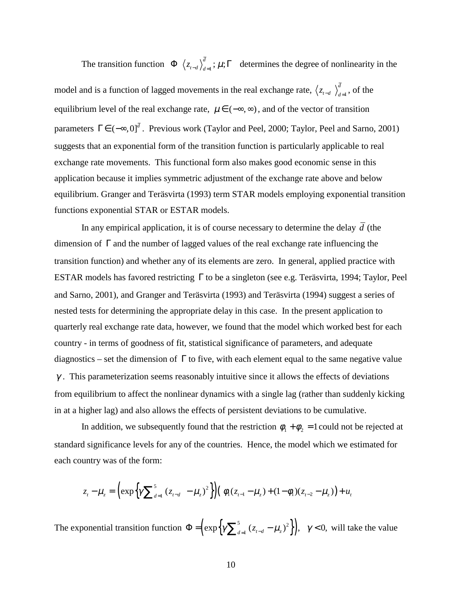The transition function  $\Phi\left[\left\langle z_{t-d}\right\rangle_{d=1}^{d} ; \mu;\Gamma\right]$  determines the degree of nonlinearity in the model and is a function of lagged movements in the real exchange rate,  $\langle z_{t-d} \rangle_{d=1}^{d}$ , of the equilibrium level of the real exchange rate,  $\mu \in (-\infty, \infty)$ , and of the vector of transition parameters  $\Gamma \in (-\infty, 0]^{\bar{d}}$ . Previous work (Taylor and Peel, 2000; Taylor, Peel and Sarno, 2001) suggests that an exponential form of the transition function is particularly applicable to real exchange rate movements. This functional form also makes good economic sense in this application because it implies symmetric adjustment of the exchange rate above and below equilibrium. Granger and Teräsvirta (1993) term STAR models employing exponential transition functions exponential STAR or ESTAR models.

In any empirical application, it is of course necessary to determine the delay  $\overline{d}$  (the dimension of Γ and the number of lagged values of the real exchange rate influencing the transition function) and whether any of its elements are zero. In general, applied practice with ESTAR models has favored restricting Γ to be a singleton (see e.g. Teräsvirta, 1994; Taylor, Peel and Sarno, 2001), and Granger and Teräsvirta (1993) and Teräsvirta (1994) suggest a series of nested tests for determining the appropriate delay in this case. In the present application to quarterly real exchange rate data, however, we found that the model which worked best for each country - in terms of goodness of fit, statistical significance of parameters, and adequate diagnostics – set the dimension of  $\Gamma$  to five, with each element equal to the same negative value  $\gamma$ . This parameterization seems reasonably intuitive since it allows the effects of deviations from equilibrium to affect the nonlinear dynamics with a single lag (rather than suddenly kicking in at a higher lag) and also allows the effects of persistent deviations to be cumulative.

In addition, we subsequently found that the restriction  $\phi_1 + \phi_2 = 1$  could not be rejected at standard significance levels for any of the countries. Hence, the model which we estimated for each country was of the form:

$$
z_t - \mu_z = \left( \exp\left\{ \gamma \sum_{d=1}^5 (z_{t-d} - \mu_z)^2 \right\} \right) \left( \phi_1 (z_{t-1} - \mu_z) + (1 - \phi_1)(z_{t-2} - \mu_z) \right) + u_t
$$

The exponential transition function  $\Phi = \left( \exp \left\{ \gamma \sum_{d=1}^{5} (z_{t-d} - \mu_z)^2 \right\} \right)$ ,  $\gamma < 0$ , will take the value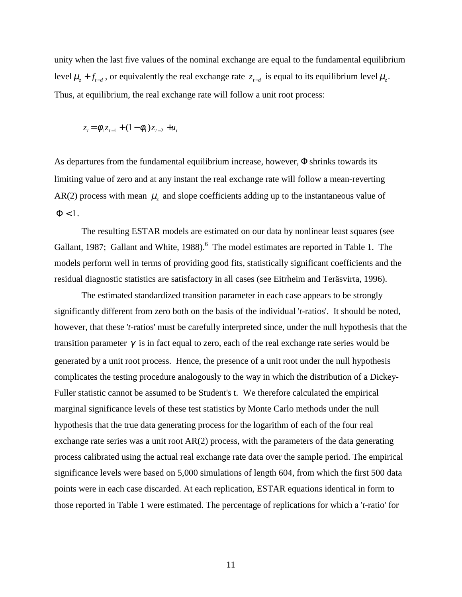unity when the last five values of the nominal exchange are equal to the fundamental equilibrium level  $\mu$ , +  $f$ <sub> $t-d$ </sub>, or equivalently the real exchange rate  $z$ <sub> $t-d$ </sub> is equal to its equilibrium level  $\mu$ <sub>z</sub>. Thus, at equilibrium, the real exchange rate will follow a unit root process:

$$
z_t = \phi_1 z_{t-1} + (1 - \phi_1) z_{t-2} + u_t
$$

As departures from the fundamental equilibrium increase, however, Φ shrinks towards its limiting value of zero and at any instant the real exchange rate will follow a mean-reverting AR(2) process with mean  $\mu_z$  and slope coefficients adding up to the instantaneous value of  $\Phi$  < 1.

The resulting ESTAR models are estimated on our data by nonlinear least squares (see Gallant, 1987; Gallant and White, 1988).<sup>6</sup> The model estimates are reported in Table 1. The models perform well in terms of providing good fits, statistically significant coefficients and the residual diagnostic statistics are satisfactory in all cases (see Eitrheim and Teräsvirta, 1996).

The estimated standardized transition parameter in each case appears to be strongly significantly different from zero both on the basis of the individual '*t-*ratios'. It should be noted, however, that these '*t-*ratios' must be carefully interpreted since, under the null hypothesis that the transition parameter  $\gamma$  is in fact equal to zero, each of the real exchange rate series would be generated by a unit root process. Hence, the presence of a unit root under the null hypothesis complicates the testing procedure analogously to the way in which the distribution of a Dickey-Fuller statistic cannot be assumed to be Student's t. We therefore calculated the empirical marginal significance levels of these test statistics by Monte Carlo methods under the null hypothesis that the true data generating process for the logarithm of each of the four real exchange rate series was a unit root AR(2) process, with the parameters of the data generating process calibrated using the actual real exchange rate data over the sample period. The empirical significance levels were based on 5,000 simulations of length 604, from which the first 500 data points were in each case discarded. At each replication, ESTAR equations identical in form to those reported in Table 1 were estimated. The percentage of replications for which a '*t-*ratio' for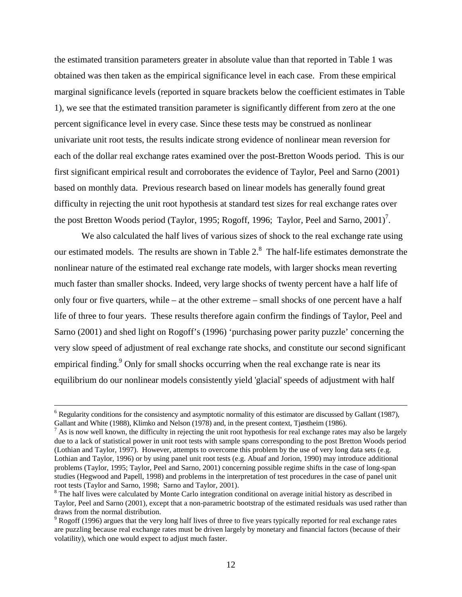the estimated transition parameters greater in absolute value than that reported in Table 1 was obtained was then taken as the empirical significance level in each case. From these empirical marginal significance levels (reported in square brackets below the coefficient estimates in Table 1), we see that the estimated transition parameter is significantly different from zero at the one percent significance level in every case. Since these tests may be construed as nonlinear univariate unit root tests, the results indicate strong evidence of nonlinear mean reversion for each of the dollar real exchange rates examined over the post-Bretton Woods period. This is our first significant empirical result and corroborates the evidence of Taylor, Peel and Sarno (2001) based on monthly data. Previous research based on linear models has generally found great difficulty in rejecting the unit root hypothesis at standard test sizes for real exchange rates over the post Bretton Woods period (Taylor, 1995; Rogoff, 1996; Taylor, Peel and Sarno, 2001)<sup>7</sup>.

We also calculated the half lives of various sizes of shock to the real exchange rate using our estimated models. The results are shown in Table 2. $^8$  The half-life estimates demonstrate the nonlinear nature of the estimated real exchange rate models, with larger shocks mean reverting much faster than smaller shocks. Indeed, very large shocks of twenty percent have a half life of only four or five quarters, while – at the other extreme – small shocks of one percent have a half life of three to four years. These results therefore again confirm the findings of Taylor, Peel and Sarno (2001) and shed light on Rogoff's (1996) 'purchasing power parity puzzle' concerning the very slow speed of adjustment of real exchange rate shocks, and constitute our second significant empirical finding.<sup>9</sup> Only for small shocks occurring when the real exchange rate is near its equilibrium do our nonlinear models consistently yield 'glacial' speeds of adjustment with half

 <sup>6</sup>  $6$  Regularity conditions for the consistency and asymptotic normality of this estimator are discussed by Gallant (1987), Gallant and White (1988), Klimko and Nelson (1978) and, in the present context, Tjøstheim (1986).

 $^7$  As is now well known, the difficulty in rejecting the unit root hypothesis for real exchange rates may also be largely due to a lack of statistical power in unit root tests with sample spans corresponding to the post Bretton Woods period (Lothian and Taylor, 1997). However, attempts to overcome this problem by the use of very long data sets (e.g. Lothian and Taylor, 1996) or by using panel unit root tests (e.g. Abuaf and Jorion, 1990) may introduce additional problems (Taylor, 1995; Taylor, Peel and Sarno, 2001) concerning possible regime shifts in the case of long-span studies (Hegwood and Papell, 1998) and problems in the interpretation of test procedures in the case of panel unit root tests (Taylor and Sarno, 1998; Sarno and Taylor, 2001).

<sup>&</sup>lt;sup>8</sup> The half lives were calculated by Monte Carlo integration conditional on average initial history as described in Taylor, Peel and Sarno (2001), except that a non-parametric bootstrap of the estimated residuals was used rather than draws from the normal distribution.

 $9$  Rogoff (1996) argues that the very long half lives of three to five years typically reported for real exchange rates are puzzling because real exchange rates must be driven largely by monetary and financial factors (because of their volatility), which one would expect to adjust much faster.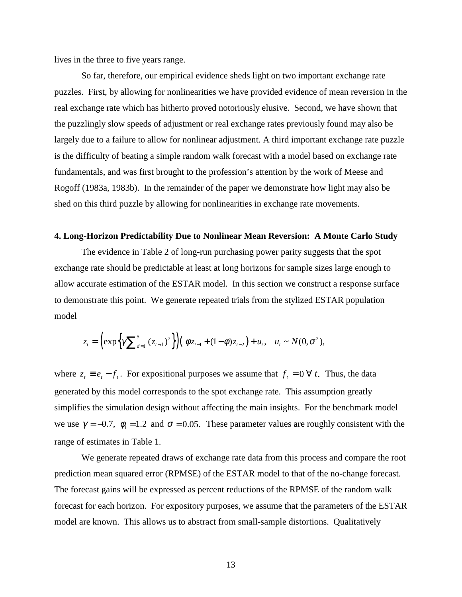lives in the three to five years range.

So far, therefore, our empirical evidence sheds light on two important exchange rate puzzles. First, by allowing for nonlinearities we have provided evidence of mean reversion in the real exchange rate which has hitherto proved notoriously elusive. Second, we have shown that the puzzlingly slow speeds of adjustment or real exchange rates previously found may also be largely due to a failure to allow for nonlinear adjustment. A third important exchange rate puzzle is the difficulty of beating a simple random walk forecast with a model based on exchange rate fundamentals, and was first brought to the profession's attention by the work of Meese and Rogoff (1983a, 1983b). In the remainder of the paper we demonstrate how light may also be shed on this third puzzle by allowing for nonlinearities in exchange rate movements.

### **4. Long-Horizon Predictability Due to Nonlinear Mean Reversion: A Monte Carlo Study**

The evidence in Table 2 of long-run purchasing power parity suggests that the spot exchange rate should be predictable at least at long horizons for sample sizes large enough to allow accurate estimation of the ESTAR model. In this section we construct a response surface to demonstrate this point. We generate repeated trials from the stylized ESTAR population model

$$
z_{t} = \left(\exp\left\{\gamma \sum_{d=1}^{5} (z_{t-d})^{2}\right\}\right) \left(\phi z_{t-1} + (1-\phi)z_{t-2}\right) + u_{t}, \quad u_{t} \sim N(0, \sigma^{2}),
$$

where  $z_t \equiv e_t - f_t$ . For expositional purposes we assume that  $f_t = 0 \forall t$ . Thus, the data generated by this model corresponds to the spot exchange rate. This assumption greatly simplifies the simulation design without affecting the main insights. For the benchmark model we use  $\gamma = -0.7$ ,  $\phi_1 = 1.2$  and  $\sigma = 0.05$ . These parameter values are roughly consistent with the range of estimates in Table 1.

We generate repeated draws of exchange rate data from this process and compare the root prediction mean squared error (RPMSE) of the ESTAR model to that of the no-change forecast. The forecast gains will be expressed as percent reductions of the RPMSE of the random walk forecast for each horizon. For expository purposes, we assume that the parameters of the ESTAR model are known. This allows us to abstract from small-sample distortions. Qualitatively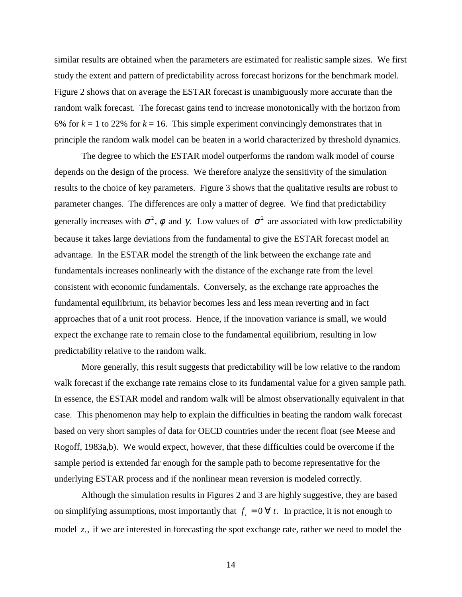similar results are obtained when the parameters are estimated for realistic sample sizes. We first study the extent and pattern of predictability across forecast horizons for the benchmark model. Figure 2 shows that on average the ESTAR forecast is unambiguously more accurate than the random walk forecast. The forecast gains tend to increase monotonically with the horizon from 6% for  $k = 1$  to 22% for  $k = 16$ . This simple experiment convincingly demonstrates that in principle the random walk model can be beaten in a world characterized by threshold dynamics.

The degree to which the ESTAR model outperforms the random walk model of course depends on the design of the process. We therefore analyze the sensitivity of the simulation results to the choice of key parameters. Figure 3 shows that the qualitative results are robust to parameter changes. The differences are only a matter of degree. We find that predictability generally increases with  $\sigma^2$ ,  $\phi$  and  $\gamma$ . Low values of  $\sigma^2$  are associated with low predictability because it takes large deviations from the fundamental to give the ESTAR forecast model an advantage. In the ESTAR model the strength of the link between the exchange rate and fundamentals increases nonlinearly with the distance of the exchange rate from the level consistent with economic fundamentals. Conversely, as the exchange rate approaches the fundamental equilibrium, its behavior becomes less and less mean reverting and in fact approaches that of a unit root process. Hence, if the innovation variance is small, we would expect the exchange rate to remain close to the fundamental equilibrium, resulting in low predictability relative to the random walk.

More generally, this result suggests that predictability will be low relative to the random walk forecast if the exchange rate remains close to its fundamental value for a given sample path. In essence, the ESTAR model and random walk will be almost observationally equivalent in that case. This phenomenon may help to explain the difficulties in beating the random walk forecast based on very short samples of data for OECD countries under the recent float (see Meese and Rogoff, 1983a,b). We would expect, however, that these difficulties could be overcome if the sample period is extended far enough for the sample path to become representative for the underlying ESTAR process and if the nonlinear mean reversion is modeled correctly.

Although the simulation results in Figures 2 and 3 are highly suggestive, they are based on simplifying assumptions, most importantly that  $f_t = 0 \forall t$ . In practice, it is not enough to model  $z_t$ , if we are interested in forecasting the spot exchange rate, rather we need to model the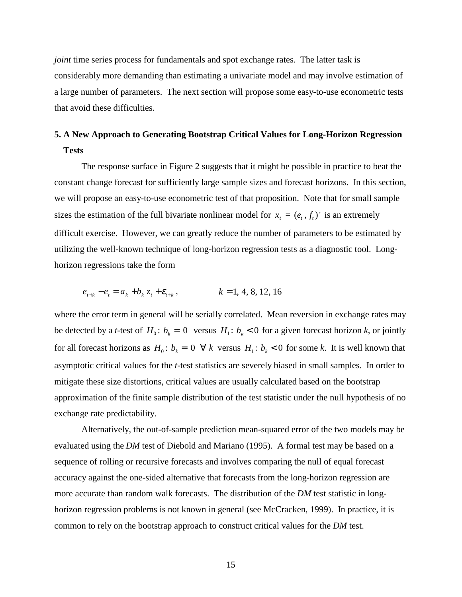*joint* time series process for fundamentals and spot exchange rates. The latter task is considerably more demanding than estimating a univariate model and may involve estimation of a large number of parameters. The next section will propose some easy-to-use econometric tests that avoid these difficulties.

## **5. A New Approach to Generating Bootstrap Critical Values for Long-Horizon Regression Tests**

The response surface in Figure 2 suggests that it might be possible in practice to beat the constant change forecast for sufficiently large sample sizes and forecast horizons. In this section, we will propose an easy-to-use econometric test of that proposition. Note that for small sample sizes the estimation of the full bivariate nonlinear model for  $x_t = (e_t, f_t)$  is an extremely difficult exercise. However, we can greatly reduce the number of parameters to be estimated by utilizing the well-known technique of long-horizon regression tests as a diagnostic tool. Longhorizon regressions take the form

$$
e_{t+k} - e_t = a_k + b_k z_t + \varepsilon_{t+k}, \qquad k = 1, 4, 8, 12, 16
$$

where the error term in general will be serially correlated. Mean reversion in exchange rates may be detected by a *t*-test of  $H_0$ :  $b_k = 0$  versus  $H_1$ :  $b_k < 0$  for a given forecast horizon *k*, or jointly for all forecast horizons as  $H_0: b_k = 0 \ \forall k$  versus  $H_1: b_k < 0$  for some k. It is well known that asymptotic critical values for the *t*-test statistics are severely biased in small samples. In order to mitigate these size distortions, critical values are usually calculated based on the bootstrap approximation of the finite sample distribution of the test statistic under the null hypothesis of no exchange rate predictability.

Alternatively, the out-of-sample prediction mean-squared error of the two models may be evaluated using the *DM* test of Diebold and Mariano (1995). A formal test may be based on a sequence of rolling or recursive forecasts and involves comparing the null of equal forecast accuracy against the one-sided alternative that forecasts from the long-horizon regression are more accurate than random walk forecasts. The distribution of the *DM* test statistic in longhorizon regression problems is not known in general (see McCracken, 1999). In practice, it is common to rely on the bootstrap approach to construct critical values for the *DM* test.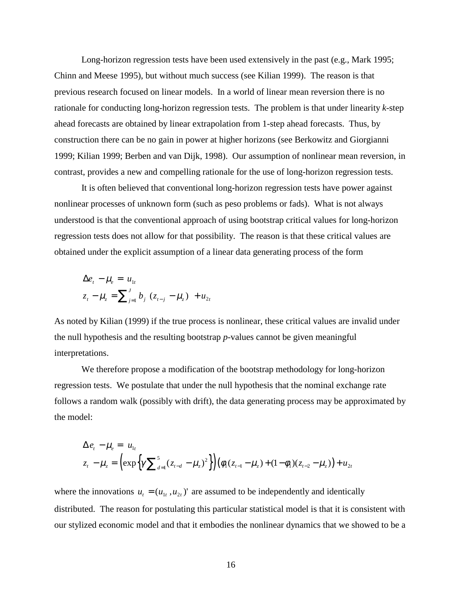Long-horizon regression tests have been used extensively in the past (e.g., Mark 1995; Chinn and Meese 1995), but without much success (see Kilian 1999). The reason is that previous research focused on linear models. In a world of linear mean reversion there is no rationale for conducting long-horizon regression tests. The problem is that under linearity *k*-step ahead forecasts are obtained by linear extrapolation from 1-step ahead forecasts. Thus, by construction there can be no gain in power at higher horizons (see Berkowitz and Giorgianni 1999; Kilian 1999; Berben and van Dijk, 1998). Our assumption of nonlinear mean reversion, in contrast, provides a new and compelling rationale for the use of long-horizon regression tests.

It is often believed that conventional long-horizon regression tests have power against nonlinear processes of unknown form (such as peso problems or fads). What is not always understood is that the conventional approach of using bootstrap critical values for long-horizon regression tests does not allow for that possibility. The reason is that these critical values are obtained under the explicit assumption of a linear data generating process of the form

$$
\Delta e_t - \mu_e = u_{1t} z_t - \mu_z = \sum_{j=1}^J b_j (z_{t-j} - \mu_z) + u_{2t}
$$

As noted by Kilian (1999) if the true process is nonlinear, these critical values are invalid under the null hypothesis and the resulting bootstrap *p*-values cannot be given meaningful interpretations.

We therefore propose a modification of the bootstrap methodology for long-horizon regression tests. We postulate that under the null hypothesis that the nominal exchange rate follows a random walk (possibly with drift), the data generating process may be approximated by the model:

$$
\Delta e_t - \mu_e = u_{1t}
$$
  

$$
z_t - \mu_z = \left( \exp \left\{ \gamma \sum_{d=1}^5 (z_{t-d} - \mu_z)^2 \right\} \right) \left( \phi_1 (z_{t-1} - \mu_z) + (1 - \phi_1)(z_{t-2} - \mu_z) \right) + u_{2t}
$$

where the innovations  $u_t = (u_{1t}, u_{2t})'$  are assumed to be independently and identically distributed. The reason for postulating this particular statistical model is that it is consistent with our stylized economic model and that it embodies the nonlinear dynamics that we showed to be a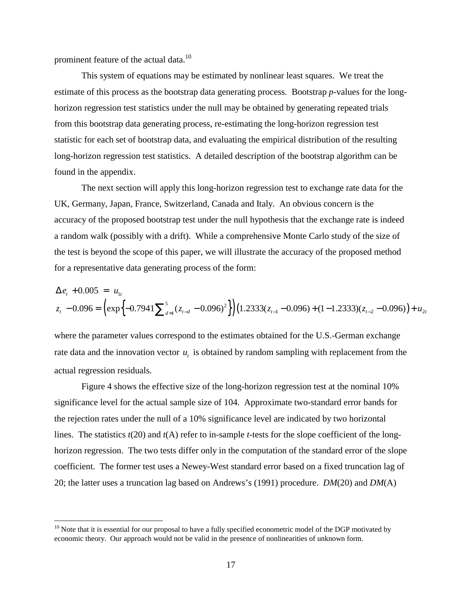prominent feature of the actual data.<sup>10</sup>

 $\overline{a}$ 

This system of equations may be estimated by nonlinear least squares. We treat the estimate of this process as the bootstrap data generating process. Bootstrap *p*-values for the longhorizon regression test statistics under the null may be obtained by generating repeated trials from this bootstrap data generating process, re-estimating the long-horizon regression test statistic for each set of bootstrap data, and evaluating the empirical distribution of the resulting long-horizon regression test statistics. A detailed description of the bootstrap algorithm can be found in the appendix.

The next section will apply this long-horizon regression test to exchange rate data for the UK, Germany, Japan, France, Switzerland, Canada and Italy. An obvious concern is the accuracy of the proposed bootstrap test under the null hypothesis that the exchange rate is indeed a random walk (possibly with a drift). While a comprehensive Monte Carlo study of the size of the test is beyond the scope of this paper, we will illustrate the accuracy of the proposed method for a representative data generating process of the form:

$$
\Delta e_t + 0.005 = u_{1t}
$$
  

$$
z_t - 0.096 = \left(\exp\left\{-0.7941\sum_{d=1}^5 (z_{t-d} - 0.096)^2\right\}\right) (1.2333(z_{t-1} - 0.096) + (1 - 1.2333)(z_{t-2} - 0.096)) + u_{2t}
$$

where the parameter values correspond to the estimates obtained for the U.S.-German exchange rate data and the innovation vector  $u_t$ , is obtained by random sampling with replacement from the actual regression residuals.

Figure 4 shows the effective size of the long-horizon regression test at the nominal 10% significance level for the actual sample size of 104. Approximate two-standard error bands for the rejection rates under the null of a 10% significance level are indicated by two horizontal lines. The statistics *t*(20) and *t*(A) refer to in-sample *t*-tests for the slope coefficient of the longhorizon regression. The two tests differ only in the computation of the standard error of the slope coefficient. The former test uses a Newey-West standard error based on a fixed truncation lag of 20; the latter uses a truncation lag based on Andrews's (1991) procedure. *DM*(20) and *DM*(A)

 $10$  Note that it is essential for our proposal to have a fully specified econometric model of the DGP motivated by economic theory. Our approach would not be valid in the presence of nonlinearities of unknown form.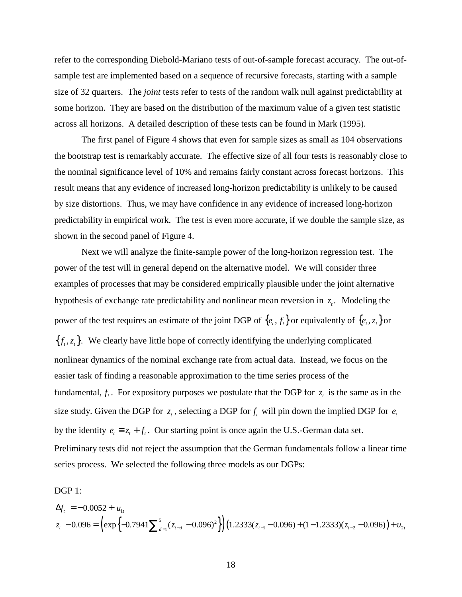refer to the corresponding Diebold-Mariano tests of out-of-sample forecast accuracy. The out-ofsample test are implemented based on a sequence of recursive forecasts, starting with a sample size of 32 quarters. The *joint* tests refer to tests of the random walk null against predictability at some horizon. They are based on the distribution of the maximum value of a given test statistic across all horizons. A detailed description of these tests can be found in Mark (1995).

The first panel of Figure 4 shows that even for sample sizes as small as 104 observations the bootstrap test is remarkably accurate. The effective size of all four tests is reasonably close to the nominal significance level of 10% and remains fairly constant across forecast horizons. This result means that any evidence of increased long-horizon predictability is unlikely to be caused by size distortions. Thus, we may have confidence in any evidence of increased long-horizon predictability in empirical work. The test is even more accurate, if we double the sample size, as shown in the second panel of Figure 4.

Next we will analyze the finite-sample power of the long-horizon regression test. The power of the test will in general depend on the alternative model. We will consider three examples of processes that may be considered empirically plausible under the joint alternative hypothesis of exchange rate predictability and nonlinear mean reversion in  $z<sub>r</sub>$ . Modeling the power of the test requires an estimate of the joint DGP of  $\{e_t, f_t\}$  or equivalently of  $\{e_t, z_t\}$  or  ${f<sub>t</sub>, z<sub>t</sub>}$ . We clearly have little hope of correctly identifying the underlying complicated nonlinear dynamics of the nominal exchange rate from actual data. Instead, we focus on the easier task of finding a reasonable approximation to the time series process of the fundamental,  $f_t$ . For expository purposes we postulate that the DGP for  $z_t$  is the same as in the size study. Given the DGP for  $z_t$ , selecting a DGP for  $f_t$  will pin down the implied DGP for  $e_t$ by the identity  $e_t \equiv z_t + f_t$ . Our starting point is once again the U.S.-German data set. Preliminary tests did not reject the assumption that the German fundamentals follow a linear time series process. We selected the following three models as our DGPs:

DGP<sub>1</sub>:

$$
\Delta f_t = -0.0052 + u_{1t}
$$
  

$$
z_t - 0.096 = \left(\exp\left\{-0.7941\sum_{d=1}^5 (z_{t-d} - 0.096)^2\right\}\right) (1.2333(z_{t-1} - 0.096) + (1 - 1.2333)(z_{t-2} - 0.096)) + u_{2t}
$$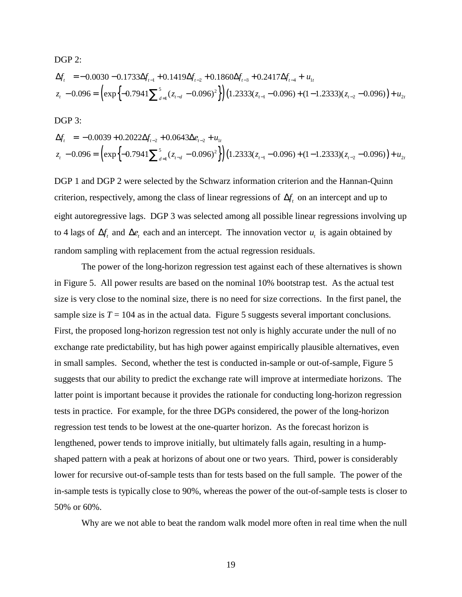$$
\Delta f_t = -0.0030 - 0.1733 \Delta f_{t-1} + 0.1419 \Delta f_{t-2} + 0.1860 \Delta f_{t-3} + 0.2417 \Delta f_{t-4} + u_{1t}
$$
  
\n
$$
z_t - 0.096 = \left( \exp \left\{ -0.7941 \sum_{d=1}^{5} (z_{t-d} - 0.096)^2 \right\} \right) (1.2333 (z_{t-1} - 0.096) + (1 - 1.2333)(z_{t-2} - 0.096)) + u_{2t} (z_{t-d} - 0.096)^2
$$

DGP 3:

DGP 2:

$$
\Delta f_t = -0.0039 + 0.2022 \Delta f_{t-2} + 0.0643 \Delta e_{t-2} + u_{1t}
$$
  

$$
z_t - 0.096 = \left( \exp\left\{-0.7941 \sum_{d=1}^{5} (z_{t-d} - 0.096)^2 \right\} \right) (1.2333 (z_{t-1} - 0.096) + (1 - 1.2333)(z_{t-2} - 0.096)) + u_{2t}
$$

DGP 1 and DGP 2 were selected by the Schwarz information criterion and the Hannan-Quinn criterion, respectively, among the class of linear regressions of  $\Delta f$  on an intercept and up to eight autoregressive lags. DGP 3 was selected among all possible linear regressions involving up to 4 lags of  $\Delta f$ , and  $\Delta e$ , each and an intercept. The innovation vector *u*, is again obtained by random sampling with replacement from the actual regression residuals.

The power of the long-horizon regression test against each of these alternatives is shown in Figure 5. All power results are based on the nominal 10% bootstrap test. As the actual test size is very close to the nominal size, there is no need for size corrections. In the first panel, the sample size is  $T = 104$  as in the actual data. Figure 5 suggests several important conclusions. First, the proposed long-horizon regression test not only is highly accurate under the null of no exchange rate predictability, but has high power against empirically plausible alternatives, even in small samples. Second, whether the test is conducted in-sample or out-of-sample, Figure 5 suggests that our ability to predict the exchange rate will improve at intermediate horizons. The latter point is important because it provides the rationale for conducting long-horizon regression tests in practice. For example, for the three DGPs considered, the power of the long-horizon regression test tends to be lowest at the one-quarter horizon. As the forecast horizon is lengthened, power tends to improve initially, but ultimately falls again, resulting in a humpshaped pattern with a peak at horizons of about one or two years. Third, power is considerably lower for recursive out-of-sample tests than for tests based on the full sample. The power of the in-sample tests is typically close to 90%, whereas the power of the out-of-sample tests is closer to 50% or 60%.

Why are we not able to beat the random walk model more often in real time when the null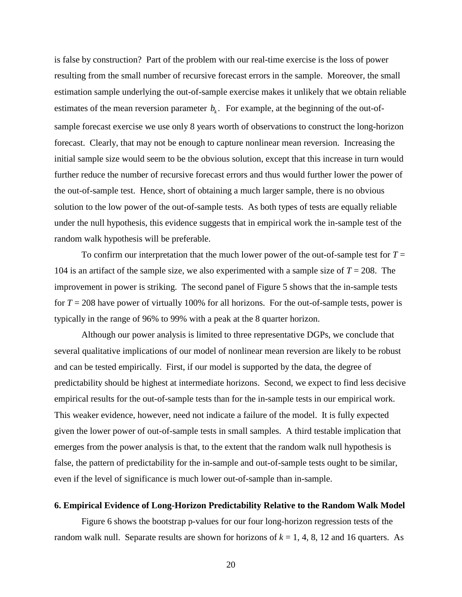is false by construction? Part of the problem with our real-time exercise is the loss of power resulting from the small number of recursive forecast errors in the sample. Moreover, the small estimation sample underlying the out-of-sample exercise makes it unlikely that we obtain reliable estimates of the mean reversion parameter  $b_k$ . For example, at the beginning of the out-ofsample forecast exercise we use only 8 years worth of observations to construct the long-horizon forecast. Clearly, that may not be enough to capture nonlinear mean reversion. Increasing the initial sample size would seem to be the obvious solution, except that this increase in turn would further reduce the number of recursive forecast errors and thus would further lower the power of the out-of-sample test. Hence, short of obtaining a much larger sample, there is no obvious solution to the low power of the out-of-sample tests. As both types of tests are equally reliable under the null hypothesis, this evidence suggests that in empirical work the in-sample test of the random walk hypothesis will be preferable.

To confirm our interpretation that the much lower power of the out-of-sample test for  $T =$ 104 is an artifact of the sample size, we also experimented with a sample size of  $T = 208$ . The improvement in power is striking. The second panel of Figure 5 shows that the in-sample tests for  $T = 208$  have power of virtually 100% for all horizons. For the out-of-sample tests, power is typically in the range of 96% to 99% with a peak at the 8 quarter horizon.

Although our power analysis is limited to three representative DGPs, we conclude that several qualitative implications of our model of nonlinear mean reversion are likely to be robust and can be tested empirically. First, if our model is supported by the data, the degree of predictability should be highest at intermediate horizons. Second, we expect to find less decisive empirical results for the out-of-sample tests than for the in-sample tests in our empirical work. This weaker evidence, however, need not indicate a failure of the model. It is fully expected given the lower power of out-of-sample tests in small samples. A third testable implication that emerges from the power analysis is that, to the extent that the random walk null hypothesis is false, the pattern of predictability for the in-sample and out-of-sample tests ought to be similar, even if the level of significance is much lower out-of-sample than in-sample.

#### **6. Empirical Evidence of Long-Horizon Predictability Relative to the Random Walk Model**

Figure 6 shows the bootstrap p-values for our four long-horizon regression tests of the random walk null. Separate results are shown for horizons of  $k = 1, 4, 8, 12$  and 16 quarters. As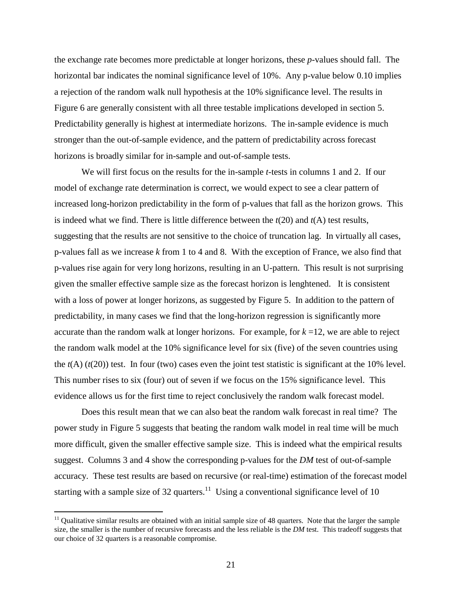the exchange rate becomes more predictable at longer horizons, these *p*-values should fall. The horizontal bar indicates the nominal significance level of 10%. Any p-value below 0.10 implies a rejection of the random walk null hypothesis at the 10% significance level. The results in Figure 6 are generally consistent with all three testable implications developed in section 5. Predictability generally is highest at intermediate horizons. The in-sample evidence is much stronger than the out-of-sample evidence, and the pattern of predictability across forecast horizons is broadly similar for in-sample and out-of-sample tests.

We will first focus on the results for the in-sample *t*-tests in columns 1 and 2. If our model of exchange rate determination is correct, we would expect to see a clear pattern of increased long-horizon predictability in the form of p-values that fall as the horizon grows. This is indeed what we find. There is little difference between the *t*(20) and *t*(A) test results, suggesting that the results are not sensitive to the choice of truncation lag. In virtually all cases, p-values fall as we increase *k* from 1 to 4 and 8. With the exception of France, we also find that p-values rise again for very long horizons, resulting in an U-pattern. This result is not surprising given the smaller effective sample size as the forecast horizon is lenghtened. It is consistent with a loss of power at longer horizons, as suggested by Figure 5. In addition to the pattern of predictability, in many cases we find that the long-horizon regression is significantly more accurate than the random walk at longer horizons. For example, for  $k = 12$ , we are able to reject the random walk model at the 10% significance level for six (five) of the seven countries using the  $t(A)$  ( $t(20)$ ) test. In four (two) cases even the joint test statistic is significant at the 10% level. This number rises to six (four) out of seven if we focus on the 15% significance level. This evidence allows us for the first time to reject conclusively the random walk forecast model.

Does this result mean that we can also beat the random walk forecast in real time? The power study in Figure 5 suggests that beating the random walk model in real time will be much more difficult, given the smaller effective sample size. This is indeed what the empirical results suggest. Columns 3 and 4 show the corresponding p-values for the *DM* test of out-of-sample accuracy. These test results are based on recursive (or real-time) estimation of the forecast model starting with a sample size of 32 quarters.<sup>11</sup> Using a conventional significance level of 10

 $\overline{a}$ 

 $11$  Qualitative similar results are obtained with an initial sample size of 48 quarters. Note that the larger the sample size, the smaller is the number of recursive forecasts and the less reliable is the *DM* test. This tradeoff suggests that our choice of 32 quarters is a reasonable compromise.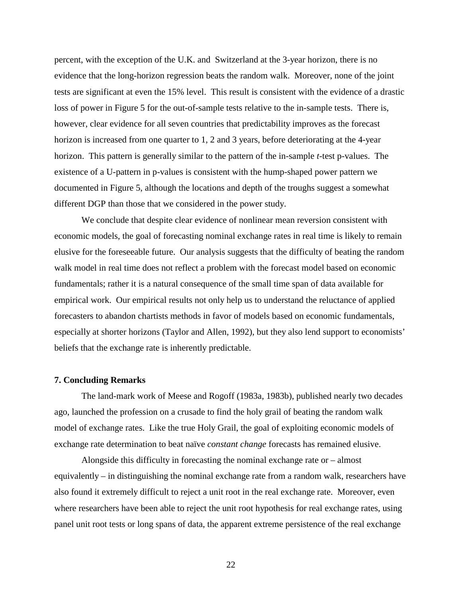percent, with the exception of the U.K. and Switzerland at the 3-year horizon, there is no evidence that the long-horizon regression beats the random walk. Moreover, none of the joint tests are significant at even the 15% level. This result is consistent with the evidence of a drastic loss of power in Figure 5 for the out-of-sample tests relative to the in-sample tests. There is, however, clear evidence for all seven countries that predictability improves as the forecast horizon is increased from one quarter to 1, 2 and 3 years, before deteriorating at the 4-year horizon. This pattern is generally similar to the pattern of the in-sample *t*-test p-values. The existence of a U-pattern in p-values is consistent with the hump-shaped power pattern we documented in Figure 5, although the locations and depth of the troughs suggest a somewhat different DGP than those that we considered in the power study.

We conclude that despite clear evidence of nonlinear mean reversion consistent with economic models, the goal of forecasting nominal exchange rates in real time is likely to remain elusive for the foreseeable future. Our analysis suggests that the difficulty of beating the random walk model in real time does not reflect a problem with the forecast model based on economic fundamentals; rather it is a natural consequence of the small time span of data available for empirical work. Our empirical results not only help us to understand the reluctance of applied forecasters to abandon chartists methods in favor of models based on economic fundamentals, especially at shorter horizons (Taylor and Allen, 1992), but they also lend support to economists' beliefs that the exchange rate is inherently predictable.

#### **7. Concluding Remarks**

The land-mark work of Meese and Rogoff (1983a, 1983b), published nearly two decades ago, launched the profession on a crusade to find the holy grail of beating the random walk model of exchange rates. Like the true Holy Grail, the goal of exploiting economic models of exchange rate determination to beat naïve *constant change* forecasts has remained elusive.

Alongside this difficulty in forecasting the nominal exchange rate or – almost equivalently – in distinguishing the nominal exchange rate from a random walk, researchers have also found it extremely difficult to reject a unit root in the real exchange rate. Moreover, even where researchers have been able to reject the unit root hypothesis for real exchange rates, using panel unit root tests or long spans of data, the apparent extreme persistence of the real exchange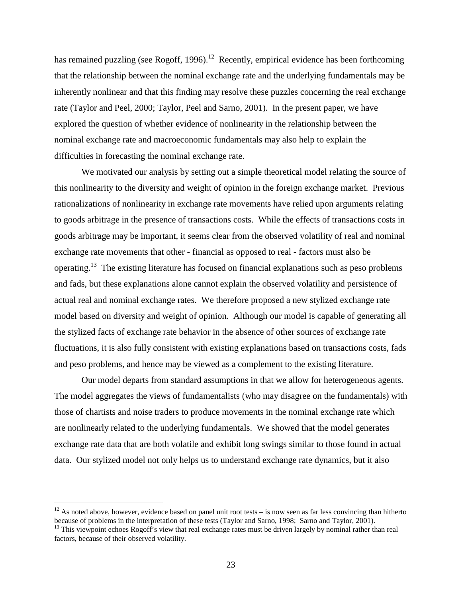has remained puzzling (see Rogoff, 1996).<sup>12</sup> Recently, empirical evidence has been forthcoming that the relationship between the nominal exchange rate and the underlying fundamentals may be inherently nonlinear and that this finding may resolve these puzzles concerning the real exchange rate (Taylor and Peel, 2000; Taylor, Peel and Sarno, 2001). In the present paper, we have explored the question of whether evidence of nonlinearity in the relationship between the nominal exchange rate and macroeconomic fundamentals may also help to explain the difficulties in forecasting the nominal exchange rate.

We motivated our analysis by setting out a simple theoretical model relating the source of this nonlinearity to the diversity and weight of opinion in the foreign exchange market. Previous rationalizations of nonlinearity in exchange rate movements have relied upon arguments relating to goods arbitrage in the presence of transactions costs. While the effects of transactions costs in goods arbitrage may be important, it seems clear from the observed volatility of real and nominal exchange rate movements that other - financial as opposed to real - factors must also be operating.13 The existing literature has focused on financial explanations such as peso problems and fads, but these explanations alone cannot explain the observed volatility and persistence of actual real and nominal exchange rates. We therefore proposed a new stylized exchange rate model based on diversity and weight of opinion. Although our model is capable of generating all the stylized facts of exchange rate behavior in the absence of other sources of exchange rate fluctuations, it is also fully consistent with existing explanations based on transactions costs, fads and peso problems, and hence may be viewed as a complement to the existing literature.

Our model departs from standard assumptions in that we allow for heterogeneous agents. The model aggregates the views of fundamentalists (who may disagree on the fundamentals) with those of chartists and noise traders to produce movements in the nominal exchange rate which are nonlinearly related to the underlying fundamentals. We showed that the model generates exchange rate data that are both volatile and exhibit long swings similar to those found in actual data. Our stylized model not only helps us to understand exchange rate dynamics, but it also

 $\overline{a}$ 

<sup>&</sup>lt;sup>12</sup> As noted above, however, evidence based on panel unit root tests – is now seen as far less convincing than hitherto because of problems in the interpretation of these tests (Taylor and Sarno, 1998; Sarno and Taylor, 2001).

<sup>&</sup>lt;sup>13</sup> This viewpoint echoes Rogoff's view that real exchange rates must be driven largely by nominal rather than real factors, because of their observed volatility.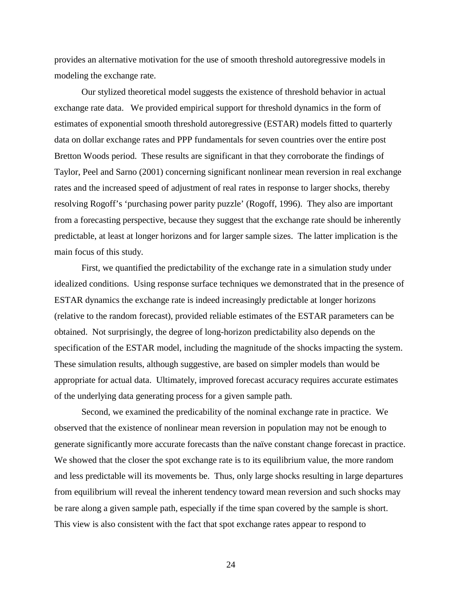provides an alternative motivation for the use of smooth threshold autoregressive models in modeling the exchange rate.

Our stylized theoretical model suggests the existence of threshold behavior in actual exchange rate data. We provided empirical support for threshold dynamics in the form of estimates of exponential smooth threshold autoregressive (ESTAR) models fitted to quarterly data on dollar exchange rates and PPP fundamentals for seven countries over the entire post Bretton Woods period. These results are significant in that they corroborate the findings of Taylor, Peel and Sarno (2001) concerning significant nonlinear mean reversion in real exchange rates and the increased speed of adjustment of real rates in response to larger shocks, thereby resolving Rogoff's 'purchasing power parity puzzle' (Rogoff, 1996). They also are important from a forecasting perspective, because they suggest that the exchange rate should be inherently predictable, at least at longer horizons and for larger sample sizes. The latter implication is the main focus of this study.

First, we quantified the predictability of the exchange rate in a simulation study under idealized conditions. Using response surface techniques we demonstrated that in the presence of ESTAR dynamics the exchange rate is indeed increasingly predictable at longer horizons (relative to the random forecast), provided reliable estimates of the ESTAR parameters can be obtained. Not surprisingly, the degree of long-horizon predictability also depends on the specification of the ESTAR model, including the magnitude of the shocks impacting the system. These simulation results, although suggestive, are based on simpler models than would be appropriate for actual data. Ultimately, improved forecast accuracy requires accurate estimates of the underlying data generating process for a given sample path.

Second, we examined the predicability of the nominal exchange rate in practice. We observed that the existence of nonlinear mean reversion in population may not be enough to generate significantly more accurate forecasts than the naïve constant change forecast in practice. We showed that the closer the spot exchange rate is to its equilibrium value, the more random and less predictable will its movements be. Thus, only large shocks resulting in large departures from equilibrium will reveal the inherent tendency toward mean reversion and such shocks may be rare along a given sample path, especially if the time span covered by the sample is short. This view is also consistent with the fact that spot exchange rates appear to respond to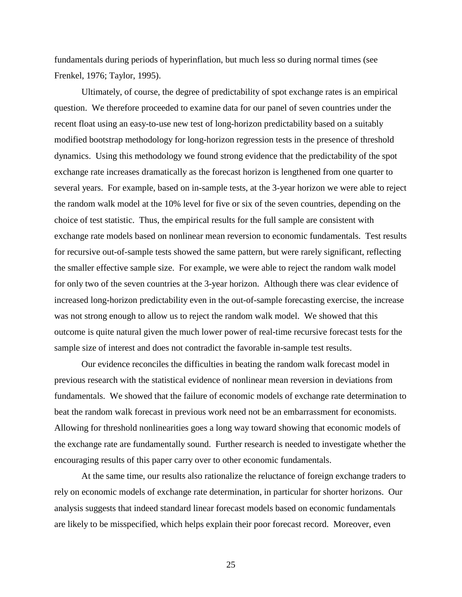fundamentals during periods of hyperinflation, but much less so during normal times (see Frenkel, 1976; Taylor, 1995).

Ultimately, of course, the degree of predictability of spot exchange rates is an empirical question. We therefore proceeded to examine data for our panel of seven countries under the recent float using an easy-to-use new test of long-horizon predictability based on a suitably modified bootstrap methodology for long-horizon regression tests in the presence of threshold dynamics. Using this methodology we found strong evidence that the predictability of the spot exchange rate increases dramatically as the forecast horizon is lengthened from one quarter to several years. For example, based on in-sample tests, at the 3-year horizon we were able to reject the random walk model at the 10% level for five or six of the seven countries, depending on the choice of test statistic. Thus, the empirical results for the full sample are consistent with exchange rate models based on nonlinear mean reversion to economic fundamentals. Test results for recursive out-of-sample tests showed the same pattern, but were rarely significant, reflecting the smaller effective sample size. For example, we were able to reject the random walk model for only two of the seven countries at the 3-year horizon. Although there was clear evidence of increased long-horizon predictability even in the out-of-sample forecasting exercise, the increase was not strong enough to allow us to reject the random walk model. We showed that this outcome is quite natural given the much lower power of real-time recursive forecast tests for the sample size of interest and does not contradict the favorable in-sample test results.

Our evidence reconciles the difficulties in beating the random walk forecast model in previous research with the statistical evidence of nonlinear mean reversion in deviations from fundamentals. We showed that the failure of economic models of exchange rate determination to beat the random walk forecast in previous work need not be an embarrassment for economists. Allowing for threshold nonlinearities goes a long way toward showing that economic models of the exchange rate are fundamentally sound. Further research is needed to investigate whether the encouraging results of this paper carry over to other economic fundamentals.

At the same time, our results also rationalize the reluctance of foreign exchange traders to rely on economic models of exchange rate determination, in particular for shorter horizons. Our analysis suggests that indeed standard linear forecast models based on economic fundamentals are likely to be misspecified, which helps explain their poor forecast record. Moreover, even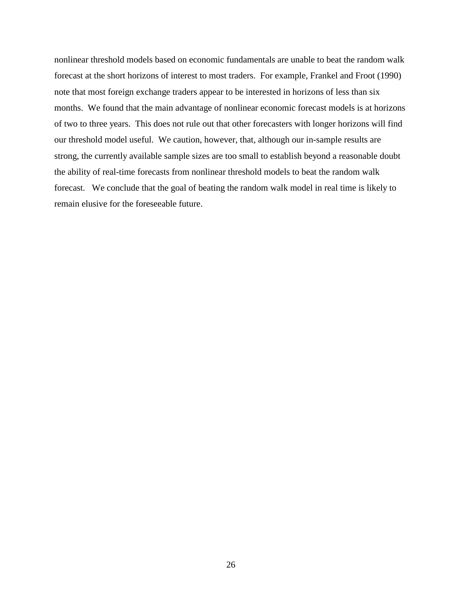nonlinear threshold models based on economic fundamentals are unable to beat the random walk forecast at the short horizons of interest to most traders. For example, Frankel and Froot (1990) note that most foreign exchange traders appear to be interested in horizons of less than six months. We found that the main advantage of nonlinear economic forecast models is at horizons of two to three years. This does not rule out that other forecasters with longer horizons will find our threshold model useful. We caution, however, that, although our in-sample results are strong, the currently available sample sizes are too small to establish beyond a reasonable doubt the ability of real-time forecasts from nonlinear threshold models to beat the random walk forecast. We conclude that the goal of beating the random walk model in real time is likely to remain elusive for the foreseeable future.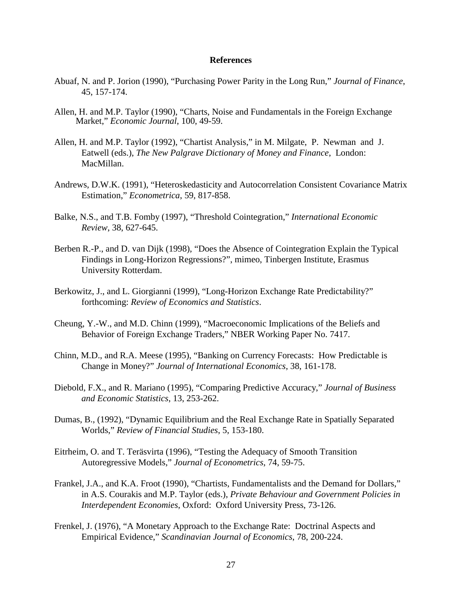### **References**

- Abuaf, N. and P. Jorion (1990), "Purchasing Power Parity in the Long Run," *Journal of Finance*, 45, 157-174.
- Allen, H. and M.P. Taylor (1990), "Charts, Noise and Fundamentals in the Foreign Exchange Market," *Economic Journal*, 100, 49-59.
- Allen, H. and M.P. Taylor (1992), "Chartist Analysis," in M. Milgate, P. Newman and J. Eatwell (eds.), *The New Palgrave Dictionary of Money and Finance*, London: MacMillan.
- Andrews, D.W.K. (1991), "Heteroskedasticity and Autocorrelation Consistent Covariance Matrix Estimation," *Econometrica*, 59, 817-858.
- Balke, N.S., and T.B. Fomby (1997), "Threshold Cointegration," *International Economic Review*, 38, 627-645.
- Berben R.-P., and D. van Dijk (1998), "Does the Absence of Cointegration Explain the Typical Findings in Long-Horizon Regressions?", mimeo, Tinbergen Institute, Erasmus University Rotterdam.
- Berkowitz, J., and L. Giorgianni (1999), "Long-Horizon Exchange Rate Predictability?" forthcoming: *Review of Economics and Statistics*.
- Cheung, Y.-W., and M.D. Chinn (1999), "Macroeconomic Implications of the Beliefs and Behavior of Foreign Exchange Traders," NBER Working Paper No. 7417.
- Chinn, M.D., and R.A. Meese (1995), "Banking on Currency Forecasts: How Predictable is Change in Money?" *Journal of International Economics*, 38, 161-178.
- Diebold, F.X., and R. Mariano (1995), "Comparing Predictive Accuracy," *Journal of Business and Economic Statistics*, 13, 253-262.
- Dumas, B., (1992), "Dynamic Equilibrium and the Real Exchange Rate in Spatially Separated Worlds," *Review of Financial Studies*, 5, 153-180.
- Eitrheim, O. and T. Teräsvirta (1996), "Testing the Adequacy of Smooth Transition Autoregressive Models," *Journal of Econometrics*, 74, 59-75.
- Frankel, J.A., and K.A. Froot (1990), "Chartists, Fundamentalists and the Demand for Dollars," in A.S. Courakis and M.P. Taylor (eds.), *Private Behaviour and Government Policies in Interdependent Economies*, Oxford: Oxford University Press, 73-126.
- Frenkel, J. (1976), "A Monetary Approach to the Exchange Rate: Doctrinal Aspects and Empirical Evidence," *Scandinavian Journal of Economics*, 78, 200-224.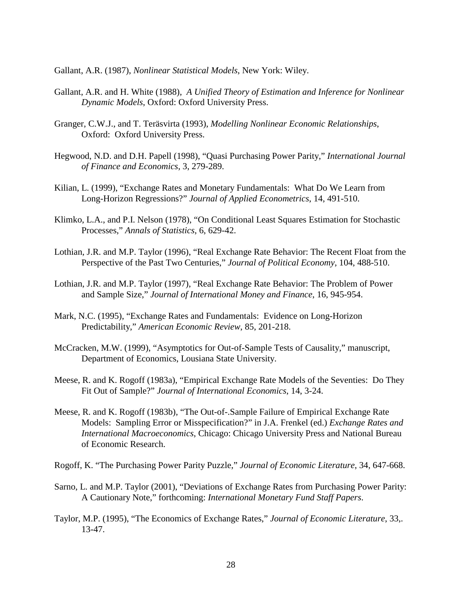Gallant, A.R. (1987), *Nonlinear Statistical Models*, New York: Wiley.

- Gallant, A.R. and H. White (1988), *A Unified Theory of Estimation and Inference for Nonlinear Dynamic Models*, Oxford: Oxford University Press.
- Granger, C.W.J., and T. Teräsvirta (1993), *Modelling Nonlinear Economic Relationships*, Oxford: Oxford University Press.
- Hegwood, N.D. and D.H. Papell (1998), "Quasi Purchasing Power Parity," *International Journal of Finance and Economics*, 3, 279-289.
- Kilian, L. (1999), "Exchange Rates and Monetary Fundamentals: What Do We Learn from Long-Horizon Regressions?" *Journal of Applied Econometrics*, 14, 491-510.
- Klimko, L.A., and P.I. Nelson (1978), "On Conditional Least Squares Estimation for Stochastic Processes," *Annals of Statistics*, 6, 629-42.
- Lothian, J.R. and M.P. Taylor (1996), "Real Exchange Rate Behavior: The Recent Float from the Perspective of the Past Two Centuries," *Journal of Political Economy*, 104, 488-510.
- Lothian, J.R. and M.P. Taylor (1997), "Real Exchange Rate Behavior: The Problem of Power and Sample Size," *Journal of International Money and Finance*, 16, 945-954.
- Mark, N.C. (1995), "Exchange Rates and Fundamentals: Evidence on Long-Horizon Predictability," *American Economic Review*, 85, 201-218.
- McCracken, M.W. (1999), "Asymptotics for Out-of-Sample Tests of Causality," manuscript, Department of Economics, Lousiana State University.
- Meese, R. and K. Rogoff (1983a), "Empirical Exchange Rate Models of the Seventies: Do They Fit Out of Sample?" *Journal of International Economics*, 14, 3-24.
- Meese, R. and K. Rogoff (1983b), "The Out-of-.Sample Failure of Empirical Exchange Rate Models: Sampling Error or Misspecification?" in J.A. Frenkel (ed.) *Exchange Rates and International Macroeconomics*, Chicago: Chicago University Press and National Bureau of Economic Research.
- Rogoff, K. "The Purchasing Power Parity Puzzle," *Journal of Economic Literature*, 34, 647-668.
- Sarno, L. and M.P. Taylor (2001), "Deviations of Exchange Rates from Purchasing Power Parity: A Cautionary Note," forthcoming: *International Monetary Fund Staff Papers*.
- Taylor, M.P. (1995), "The Economics of Exchange Rates," *Journal of Economic Literature*, 33,. 13-47.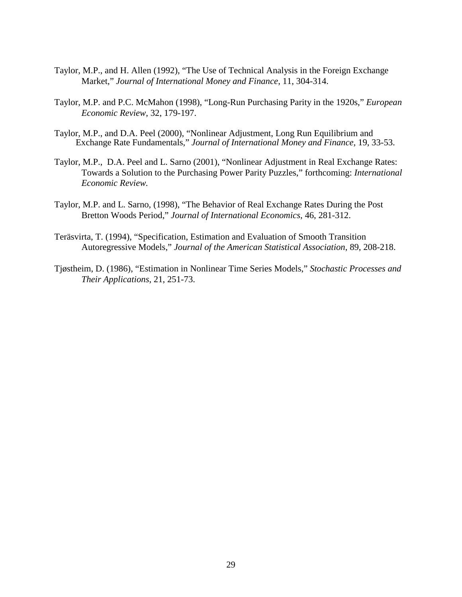- Taylor, M.P., and H. Allen (1992), "The Use of Technical Analysis in the Foreign Exchange Market," *Journal of International Money and Finance*, 11, 304-314.
- Taylor, M.P. and P.C. McMahon (1998), "Long-Run Purchasing Parity in the 1920s," *European Economic Review*, 32, 179-197.
- Taylor, M.P., and D.A. Peel (2000), "Nonlinear Adjustment, Long Run Equilibrium and Exchange Rate Fundamentals," *Journal of International Money and Finance,* 19, 33-53.
- Taylor, M.P., D.A. Peel and L. Sarno (2001), "Nonlinear Adjustment in Real Exchange Rates: Towards a Solution to the Purchasing Power Parity Puzzles," forthcoming: *International Economic Review.*
- Taylor, M.P. and L. Sarno, (1998), "The Behavior of Real Exchange Rates During the Post Bretton Woods Period," *Journal of International Economics*, 46, 281-312.
- Teräsvirta, T. (1994), "Specification, Estimation and Evaluation of Smooth Transition Autoregressive Models," *Journal of the American Statistical Association*, 89, 208-218.
- Tjøstheim, D. (1986), "Estimation in Nonlinear Time Series Models," *Stochastic Processes and Their Applications*, 21, 251-73.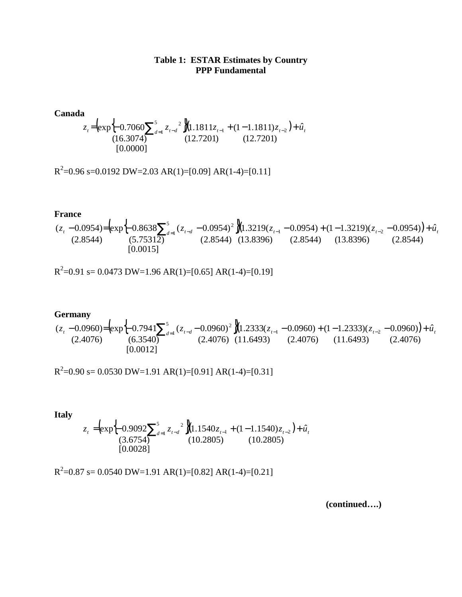## **Table 1: ESTAR Estimates by Country PPP Fundamental**

**Canada**  $\left[ \exp \left\{ -0.7060 \sum_{t=1}^{5} z_{t-d} \right\} \left[ 1.1811 z_{t-1} + (1-1.1811) z_{t-2} \right] \right]$ [0.0000] (16.3074) (12.7201) (12.7201)  $\exp{\left\{-0.7060\sum_{d=1}^{5}z_{t-d}^2\right\}}(1.1811z_{t-1} + (1-1.1811)z_{t-2}) + \hat{u}$ 1  $z_t = \left(\exp\left\{-0.7060\sum_{d=1}^5 z_{t-d}^2\right\}\right)\left(1.1811z_{t-1} + (1-1.1811)z_{t-2}\right) + \hat{u}_t$ 

 $R^2$ =0.96 s=0.0192 DW=2.03 AR(1)=[0.09] AR(1-4)=[0.11]

**France**  $(\exp_{10} 6.8638 \sum_{i=1}^{5} (z_{t-d} - 0.0954)^2)(1.3219(z_{t-1} - 0.0954) + (1 - 1.3219)(z_{t-2} - 0.0954))$ [0.0015] (2.8544) (5.75312) (2.8544) (13.8396) (2.8544) (13.8396) (2.8544)  $(z_t - 0.0954) = (exp\{-0.8638\sum_{d=1}^{5} (z_{t-d} - 0.0954)^2\})(1.3219(z_{t-1} - 0.0954) + (1 - 1.3219)(z_{t-2} - 0.0954)) + \hat{u}$ 1  $z_t - 0.0954$ = $\left(\exp\left\{-0.8638\sum_{d=1}^{5} (z_{t-d} - 0.0954)^2 \right\}\right)$  $(1.3219(z_{t-1} - 0.0954) + (1 - 1.3219)(z_{t-2} - 0.0954)) + \hat{u}_t$ 

 $R^2$ =0.91 s= 0.0473 DW=1.96 AR(1)=[0.65] AR(1-4)=[0.19]

**Germany**  $(\exp[-0.7941\sum_{i=1}^{5} (z_{t-d} - 0.0960)^2](1.2333(z_{t-1} - 0.0960) + (1 - 1.2333)(z_{t-2} - 0.0960))$ [0.0012] (2.4076) (6.3540) (2.4076) (11.6493) (2.4076) (11.6493) (2.4076)  $(z_t - 0.0960) = (exp{6x} - 0.7941) \sum_{d=1}^{5} (z_{t-d} - 0.0960)^2 (1.2333(z_{t-1} - 0.0960) + (1 - 1.2333)(z_{t-2} - 0.0960)) + \hat{u}$ 1  $z_t - 0.0960$ = $\left(\exp\left\{-0.7941\sum_{d=1}^{5} (z_{t-d} - 0.0960)^2\right\}\right]$  $(1.2333(z_{t-1} - 0.0960) + (1 - 1.2333)(z_{t-2} - 0.0960)) + \hat{u}_t$ 

 $R^2$ =0.90 s= 0.0530 DW=1.91 AR(1)=[0.91] AR(1-4)=[0.31]

**Italy**  $(\exp_{1} 0.9092 \sum_{t=1}^{3} z_{t-d}^{2}) (1.1540 z_{t-1} + (1 - 1.1540) z_{t-2})$ [0.0028] (3.6754) (10.2805) (10.2805)  $\exp{\left\{-0.9092\sum_{d=1}^{5}z_{t-d}^2\right\}}(1.1540z_{t-1}+(1-1.1540)z_{t-2})+\hat{u}$ 1  $z_t = (exp\{-0.9092\sum_{d=1}^{5} z_{t-d}^2\})(1.1540z_{t-1} + (1-1.1540)z_{t-2}) + \hat{u}_t$ 

 $R^2$ =0.87 s= 0.0540 DW=1.91 AR(1)=[0.82] AR(1-4)=[0.21]

**(continued….)**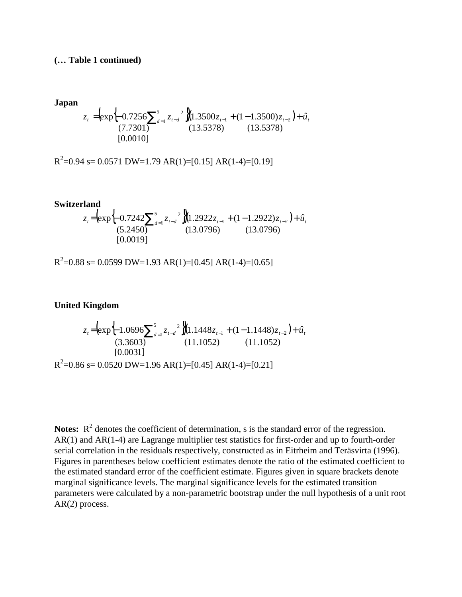## **(… Table 1 continued)**

**Japan**  

$$
z_{t} = (exp\left\{-0.7256\sum_{d=1}^{5} z_{t-d}^{2}\right\})(1.3500z_{t-1} + (1 - 1.3500)z_{t-2}) + \hat{u}_{t}
$$

$$
(7.7301)
$$

$$
(13.5378)
$$

$$
(13.5378)
$$

 $R^2$ =0.94 s= 0.0571 DW=1.79 AR(1)=[0.15] AR(1-4)=[0.19]

**Switzerland**  
\n
$$
z_{t} = \left(\exp\left\{-0.7242\sum_{d=1}^{5} z_{t-d}^{2}\right\}\right)\left(1.2922z_{t-1} + (1 - 1.2922)z_{t-2}\right) + \hat{u}_{t}
$$
\n
$$
(5.2450)
$$
\n
$$
[0.0019]
$$
\n
$$
(13.0796)
$$

 $R^2$ =0.88 s= 0.0599 DW=1.93 AR(1)=[0.45] AR(1-4)=[0.65]

**United Kingdom**

$$
z_{t} = \left(\exp\left\{-1.0696\sum_{d=1}^{5} z_{t-d}^{2}\right\}\right)\left(1.1448z_{t-1} + (1 - 1.1448)z_{t-2}\right) + \hat{u}_{t}
$$
\n(3.3603)\n(3.3603)\n(11.1052)\n(11.1052)\n[0.0031]\nR<sup>2</sup>=0.86 s= 0.0520 DW=1.96 AR(1)=[0.45] AR(1-4)=[0.21]

**Notes:**  $R^2$  denotes the coefficient of determination, s is the standard error of the regression. AR(1) and AR(1-4) are Lagrange multiplier test statistics for first-order and up to fourth-order serial correlation in the residuals respectively, constructed as in Eitrheim and Teräsvirta (1996). Figures in parentheses below coefficient estimates denote the ratio of the estimated coefficient to the estimated standard error of the coefficient estimate. Figures given in square brackets denote marginal significance levels. The marginal significance levels for the estimated transition parameters were calculated by a non-parametric bootstrap under the null hypothesis of a unit root AR(2) process.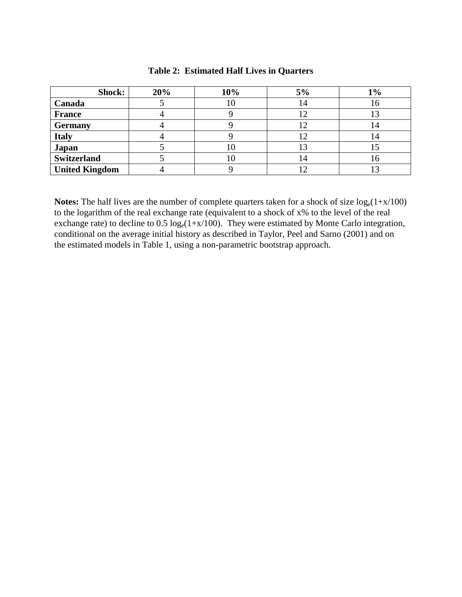| Shock:                | 20% | 10% | 5% | $1\%$ |
|-----------------------|-----|-----|----|-------|
| Canada                |     |     | 14 | 10.   |
| <b>France</b>         |     |     |    |       |
| <b>Germany</b>        |     |     |    | 4     |
| <b>Italy</b>          |     |     |    |       |
| Japan                 |     |     | 13 |       |
| <b>Switzerland</b>    |     |     | 14 | O     |
| <b>United Kingdom</b> |     |     |    |       |

### **Table 2: Estimated Half Lives in Quarters**

**Notes:** The half lives are the number of complete quarters taken for a shock of size  $log_e(1+x/100)$ to the logarithm of the real exchange rate (equivalent to a shock of x% to the level of the real exchange rate) to decline to 0.5  $log_e(1+x/100)$ . They were estimated by Monte Carlo integration, conditional on the average initial history as described in Taylor, Peel and Sarno (2001) and on the estimated models in Table 1, using a non-parametric bootstrap approach.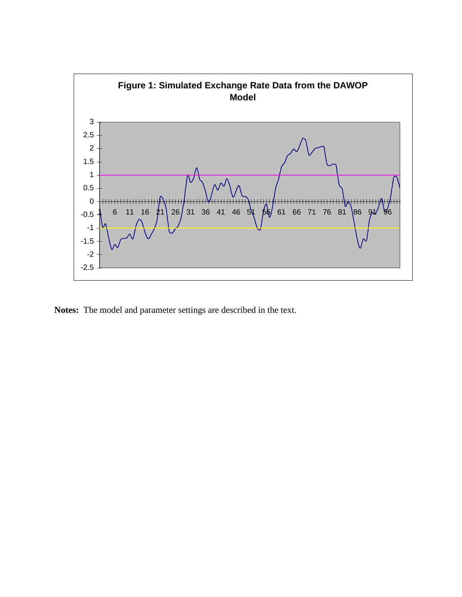

**Notes:** The model and parameter settings are described in the text.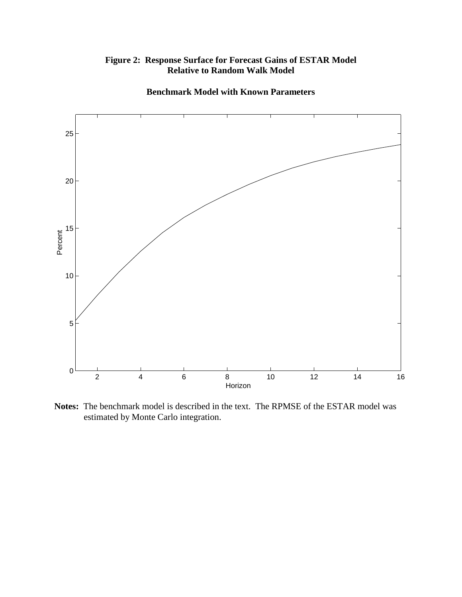



**Benchmark Model with Known Parameters**

**Notes:** The benchmark model is described in the text. The RPMSE of the ESTAR model was estimated by Monte Carlo integration.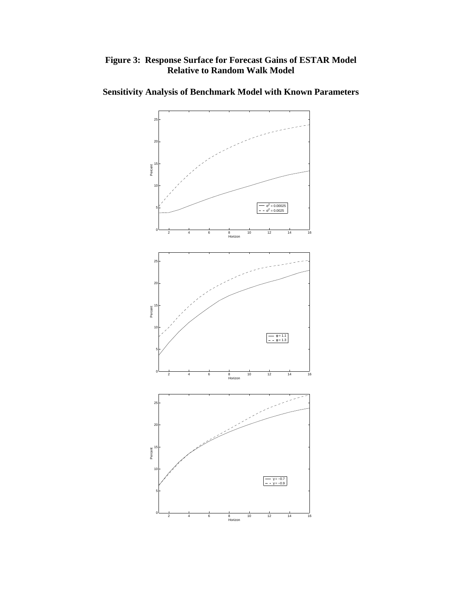## **Figure 3: Response Surface for Forecast Gains of ESTAR Model Relative to Random Walk Model**



## **Sensitivity Analysis of Benchmark Model with Known Parameters**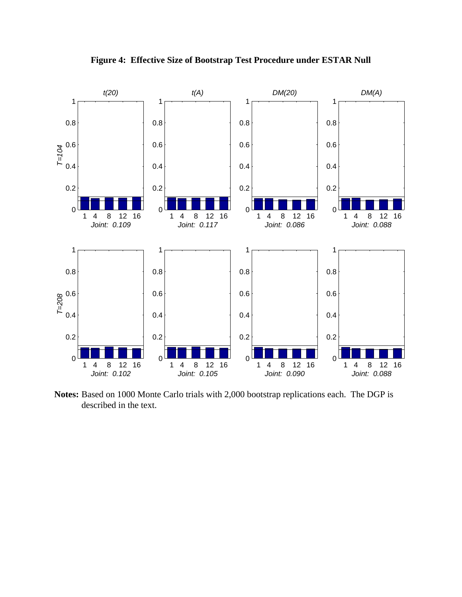

**Figure 4: Effective Size of Bootstrap Test Procedure under ESTAR Null**

**Notes:** Based on 1000 Monte Carlo trials with 2,000 bootstrap replications each. The DGP is described in the text.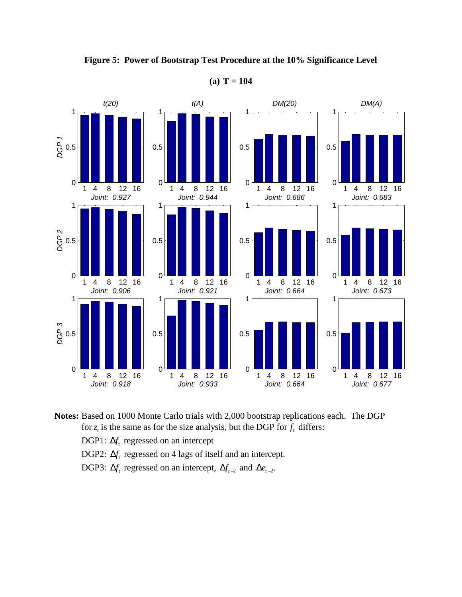

**Figure 5: Power of Bootstrap Test Procedure at the 10% Significance Level**

**(a) T = 104**

**Notes:** Based on 1000 Monte Carlo trials with 2,000 bootstrap replications each. The DGP for  $z_t$  is the same as for the size analysis, but the DGP for  $f_t$  differs:

DGP1:  $\Delta f$ <sub>t</sub> regressed on an intercept

DGP2:  $\Delta f_t$  regressed on 4 lags of itself and an intercept.

DGP3:  $\Delta f_t$  regressed on an intercept,  $\Delta f_{t-2}$  and  $\Delta e_{t-2}$ .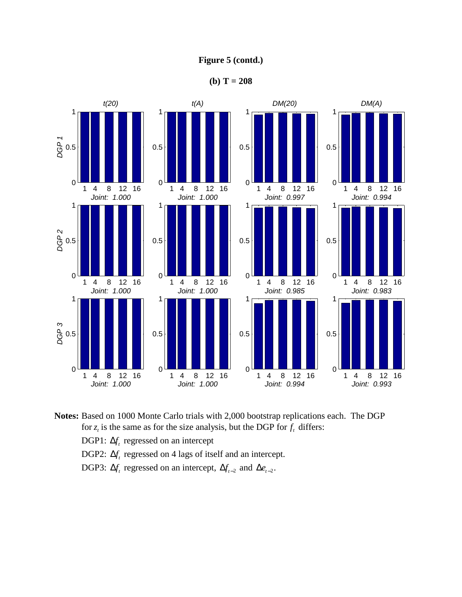## **Figure 5 (contd.)**

**(b) T = 208**



**Notes:** Based on 1000 Monte Carlo trials with 2,000 bootstrap replications each. The DGP for  $z_t$  is the same as for the size analysis, but the DGP for  $f_t$  differs:

DGP1:  $\Delta f$ <sub>t</sub> regressed on an intercept

DGP2:  $\Delta f$ <sub>c</sub> regressed on 4 lags of itself and an intercept.

DGP3:  $\Delta f_t$  regressed on an intercept,  $\Delta f_{t-2}$  and  $\Delta e_{t-2}$ .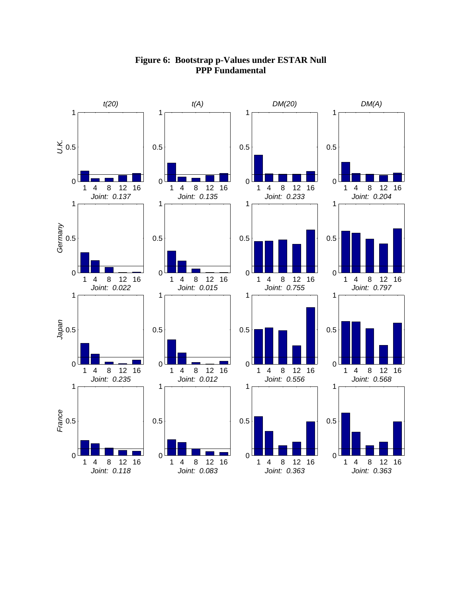

## **Figure 6: Bootstrap p-Values under ESTAR Null PPP Fundamental**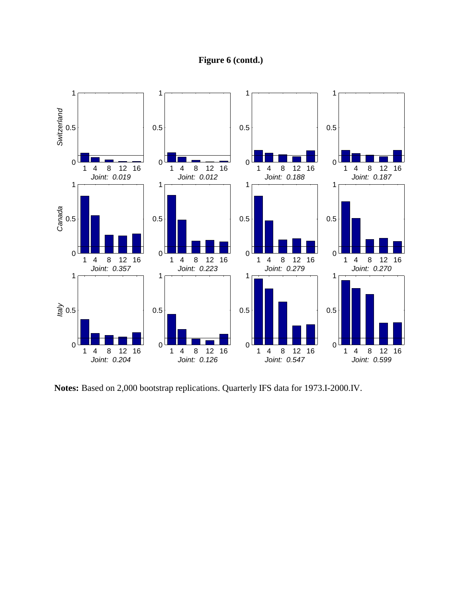## **Figure 6 (contd.)**



**Notes:** Based on 2,000 bootstrap replications. Quarterly IFS data for 1973.I-2000.IV.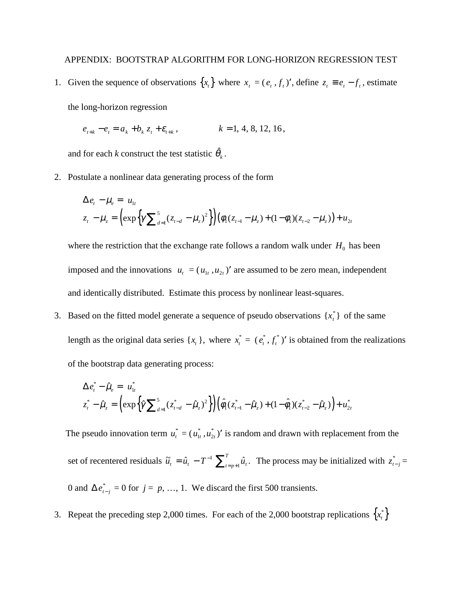1. Given the sequence of observations  $\{x_t\}$  where  $x_t = (e_t, f_t)'$ , define  $z_t \equiv e_t - f_t$ , estimate

the long-horizon regression

$$
e_{t+k} - e_t = a_k + b_k z_t + \varepsilon_{t+k}, \qquad k = 1, 4, 8, 12, 16,
$$

and for each *k* construct the test statistic  $\hat{\theta}_k$ .

2. Postulate a nonlinear data generating process of the form

$$
\Delta e_t - \mu_e = u_{1t}
$$
  

$$
z_t - \mu_z = \left(\exp\left\{\gamma \sum_{d=1}^5 (z_{t-d} - \mu_z)^2\right\}\right) \left(\phi_1 (z_{t-1} - \mu_z) + (1 - \phi_1)(z_{t-2} - \mu_z)\right) + u_{2t}
$$

where the restriction that the exchange rate follows a random walk under  $H_0$  has been imposed and the innovations  $u_t = (u_{1t}, u_{2t})'$  are assumed to be zero mean, independent and identically distributed. Estimate this process by nonlinear least-squares.

3. Based on the fitted model generate a sequence of pseudo observations  $\{x_t^*\}$  of the same length as the original data series  $\{x_t\}$ , where  $x_t^* = (e_t^*, f_t^*)'$  is obtained from the realizations of the bootstrap data generating process:

$$
\Delta e_t^* - \hat{\mu}_e = u_{1t}^* \nz_t^* - \hat{\mu}_e = \left( \exp \left\{ \hat{\gamma} \sum_{d=1}^5 (z_{t-d}^* - \hat{\mu}_e)^2 \right\} \right) \left( \hat{\phi}_1 (z_{t-1}^* - \hat{\mu}_e) + (1 - \hat{\phi}_1)(z_{t-2}^* - \hat{\mu}_e) \right) + u_{2t}^* \right)
$$

The pseudo innovation term  $u_t^* = (u_{1t}^*, u_{2t}^*)'$  is random and drawn with replacement from the set of recentered residuals  $\tilde{u}_t = \hat{u}_t - T^{-1} \sum_{t=p+1}^T \hat{u}_t$ . The process may be initialized with  $z_{t-j}^* =$ 0 and  $\Delta e_{t-j}^* = 0$  for  $j = p, ..., 1$ . We discard the first 500 transients.

3. Repeat the preceding step 2,000 times. For each of the 2,000 bootstrap replications  $\{x_i^*\}$